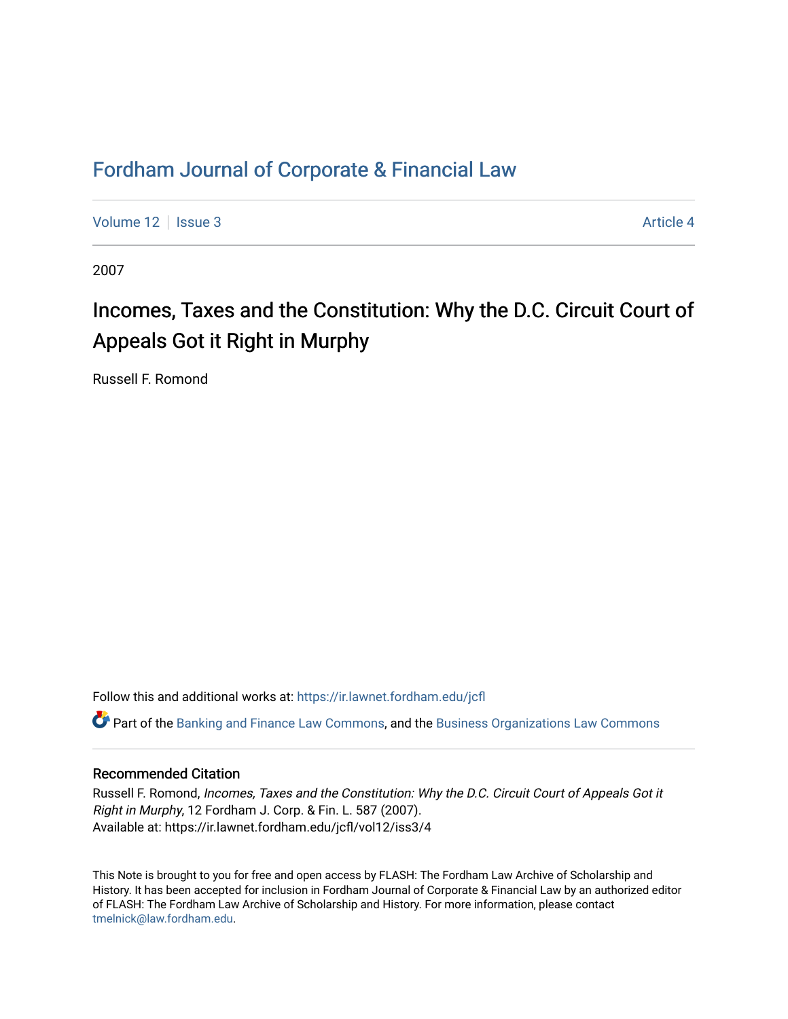## [Fordham Journal of Corporate & Financial Law](https://ir.lawnet.fordham.edu/jcfl)

[Volume 12](https://ir.lawnet.fordham.edu/jcfl/vol12) Setus 2 Article 4

2007

# Incomes, Taxes and the Constitution: Why the D.C. Circuit Court of Appeals Got it Right in Murphy

Russell F. Romond

Follow this and additional works at: [https://ir.lawnet.fordham.edu/jcfl](https://ir.lawnet.fordham.edu/jcfl?utm_source=ir.lawnet.fordham.edu%2Fjcfl%2Fvol12%2Fiss3%2F4&utm_medium=PDF&utm_campaign=PDFCoverPages) 

Part of the [Banking and Finance Law Commons,](http://network.bepress.com/hgg/discipline/833?utm_source=ir.lawnet.fordham.edu%2Fjcfl%2Fvol12%2Fiss3%2F4&utm_medium=PDF&utm_campaign=PDFCoverPages) and the [Business Organizations Law Commons](http://network.bepress.com/hgg/discipline/900?utm_source=ir.lawnet.fordham.edu%2Fjcfl%2Fvol12%2Fiss3%2F4&utm_medium=PDF&utm_campaign=PDFCoverPages) 

## Recommended Citation

Russell F. Romond, Incomes, Taxes and the Constitution: Why the D.C. Circuit Court of Appeals Got it Right in Murphy, 12 Fordham J. Corp. & Fin. L. 587 (2007). Available at: https://ir.lawnet.fordham.edu/jcfl/vol12/iss3/4

This Note is brought to you for free and open access by FLASH: The Fordham Law Archive of Scholarship and History. It has been accepted for inclusion in Fordham Journal of Corporate & Financial Law by an authorized editor of FLASH: The Fordham Law Archive of Scholarship and History. For more information, please contact [tmelnick@law.fordham.edu](mailto:tmelnick@law.fordham.edu).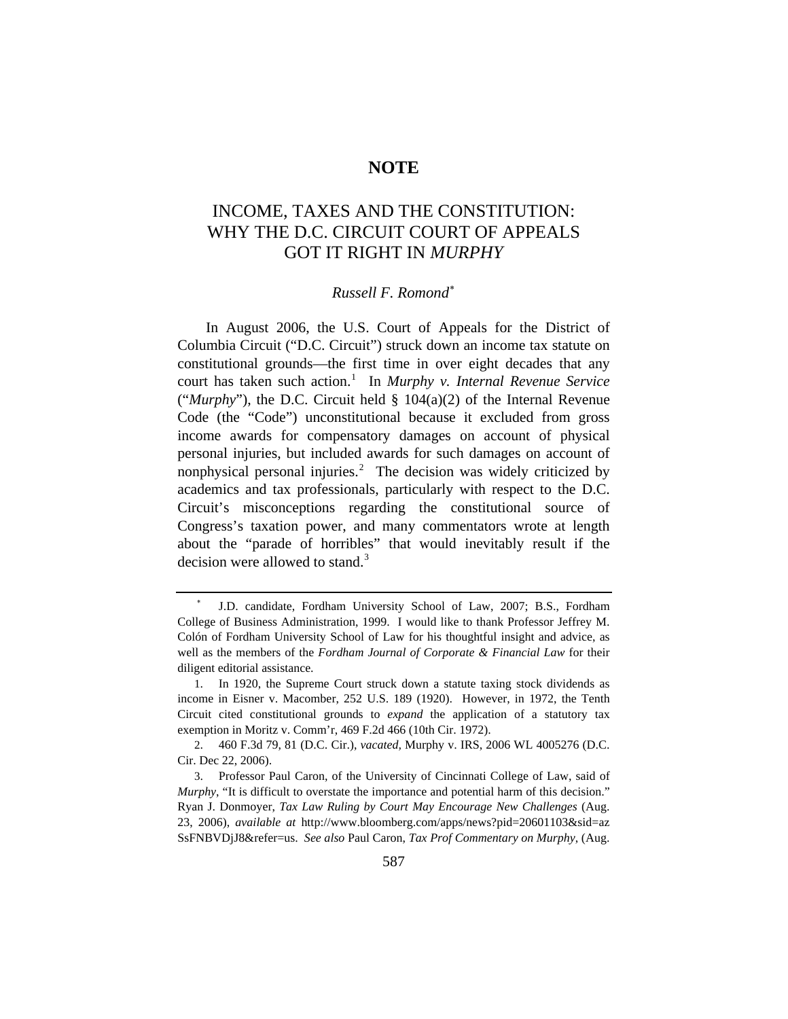## **NOTE**

## INCOME, TAXES AND THE CONSTITUTION: WHY THE D.C. CIRCUIT COURT OF APPEALS GOT IT RIGHT IN *MURPHY*

## *Russell F. Romond*[∗](#page-1-0)

In August 2006, the U.S. Court of Appeals for the District of Columbia Circuit ("D.C. Circuit") struck down an income tax statute on constitutional grounds—the first time in over eight decades that any court has taken such action.<sup>[1](#page-1-1)</sup> In *Murphy v. Internal Revenue Service* ("*Murphy*"), the D.C. Circuit held § 104(a)(2) of the Internal Revenue Code (the "Code") unconstitutional because it excluded from gross income awards for compensatory damages on account of physical personal injuries, but included awards for such damages on account of nonphysical personal injuries.<sup>[2](#page-1-2)</sup> The decision was widely criticized by academics and tax professionals, particularly with respect to the D.C. Circuit's misconceptions regarding the constitutional source of Congress's taxation power, and many commentators wrote at length about the "parade of horribles" that would inevitably result if the decision were allowed to stand.<sup>[3](#page-1-3)</sup>

<span id="page-1-0"></span><sup>∗</sup> J.D. candidate, Fordham University School of Law, 2007; B.S., Fordham College of Business Administration, 1999. I would like to thank Professor Jeffrey M. Colón of Fordham University School of Law for his thoughtful insight and advice, as well as the members of the *Fordham Journal of Corporate & Financial Law* for their diligent editorial assistance.

<span id="page-1-1"></span><sup>1.</sup> In 1920, the Supreme Court struck down a statute taxing stock dividends as income in Eisner v. Macomber, 252 U.S. 189 (1920). However, in 1972, the Tenth Circuit cited constitutional grounds to *expand* the application of a statutory tax exemption in Moritz v. Comm'r, 469 F.2d 466 (10th Cir. 1972).

<span id="page-1-2"></span><sup>2. 460</sup> F.3d 79, 81 (D.C. Cir.), *vacated,* Murphy v. IRS, 2006 WL 4005276 (D.C. Cir. Dec 22, 2006).

<span id="page-1-3"></span><sup>3.</sup> Professor Paul Caron, of the University of Cincinnati College of Law, said of *Murphy*, "It is difficult to overstate the importance and potential harm of this decision." Ryan J. Donmoyer, *Tax Law Ruling by Court May Encourage New Challenges* (Aug. 23, 2006), *available at* http://www.bloomberg.com/apps/news?pid=20601103&sid=az SsFNBVDjJ8&refer=us. *See also* Paul Caron, *Tax Prof Commentary on Murphy*, (Aug.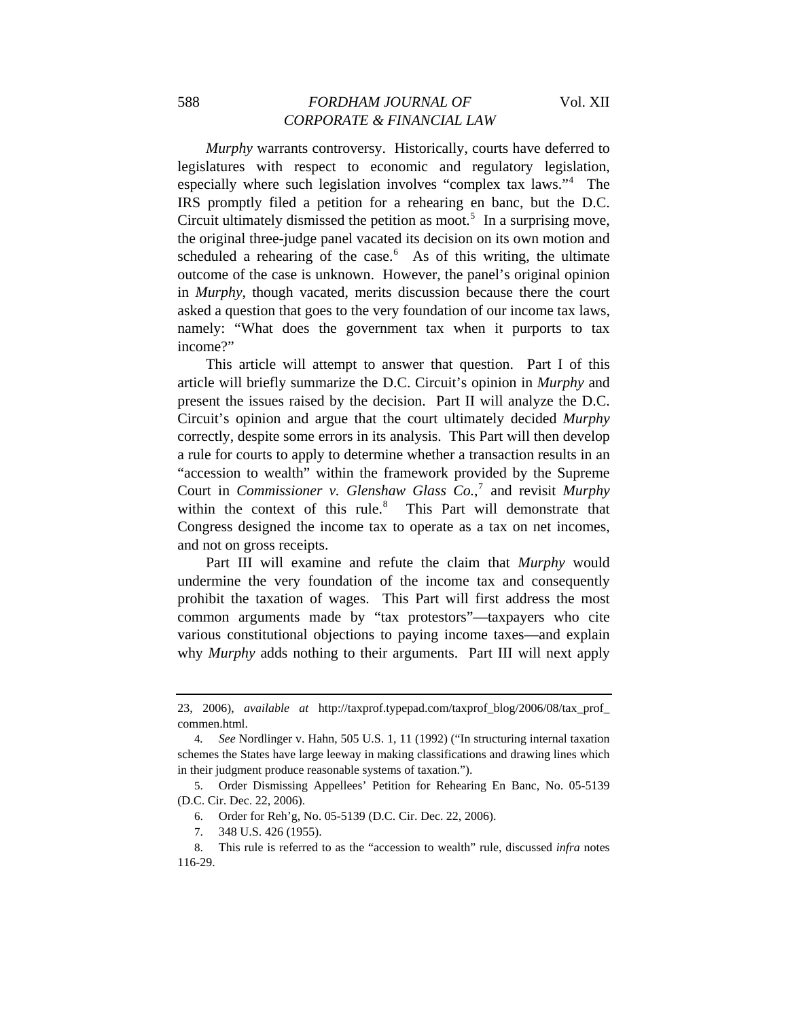*Murphy* warrants controversy. Historically, courts have deferred to legislatures with respect to economic and regulatory legislation, especially where such legislation involves "complex tax laws."[4](#page-2-0) The IRS promptly filed a petition for a rehearing en banc, but the D.C. Circuit ultimately dismissed the petition as moot.<sup>[5](#page-2-1)</sup> In a surprising move, the original three-judge panel vacated its decision on its own motion and scheduled a rehearing of the case. $6$  As of this writing, the ultimate outcome of the case is unknown. However, the panel's original opinion in *Murphy*, though vacated, merits discussion because there the court asked a question that goes to the very foundation of our income tax laws, namely: "What does the government tax when it purports to tax income?"

This article will attempt to answer that question. Part I of this article will briefly summarize the D.C. Circuit's opinion in *Murphy* and present the issues raised by the decision. Part II will analyze the D.C. Circuit's opinion and argue that the court ultimately decided *Murphy* correctly, despite some errors in its analysis. This Part will then develop a rule for courts to apply to determine whether a transaction results in an "accession to wealth" within the framework provided by the Supreme Court in *Commissioner v. Glenshaw Glass Co.*, [7](#page-2-3) and revisit *Murphy* within the context of this rule. $8$  This Part will demonstrate that Congress designed the income tax to operate as a tax on net incomes, and not on gross receipts.

Part III will examine and refute the claim that *Murphy* would undermine the very foundation of the income tax and consequently prohibit the taxation of wages. This Part will first address the most common arguments made by "tax protestors"—taxpayers who cite various constitutional objections to paying income taxes—and explain why *Murphy* adds nothing to their arguments. Part III will next apply

<sup>23, 2006),</sup> *available at* [http://taxprof.typepad.com/taxprof\\_blog/2006/08/tax\\_prof\\_](http://taxprof.typepad.com/taxprof_blog/2006/08/tax_prof_) commen.html.

<span id="page-2-0"></span><sup>4</sup>*. See* Nordlinger v. Hahn, 505 U.S. 1, 11 (1992) ("In structuring internal taxation schemes the States have large leeway in making classifications and drawing lines which in their judgment produce reasonable systems of taxation.").

<span id="page-2-2"></span><span id="page-2-1"></span><sup>5.</sup> Order Dismissing Appellees' Petition for Rehearing En Banc, No. 05-5139 (D.C. Cir. Dec. 22, 2006).

<sup>6.</sup> Order for Reh'g, No. 05-5139 (D.C. Cir. Dec. 22, 2006).

<sup>7. 348</sup> U.S. 426 (1955).

<span id="page-2-4"></span><span id="page-2-3"></span><sup>8.</sup> This rule is referred to as the "accession to wealth" rule, discussed *infra* notes 116-29.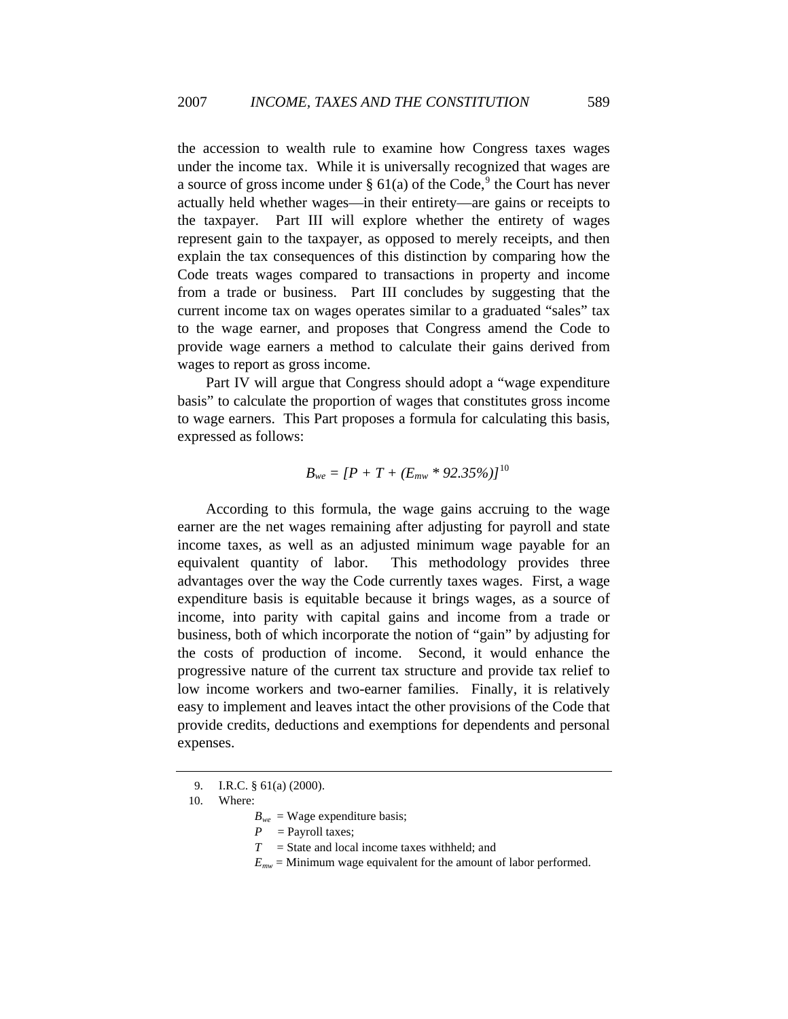the accession to wealth rule to examine how Congress taxes wages under the income tax. While it is universally recognized that wages are a source of gross income under  $\S 61(a)$  of the Code,<sup>[9](#page-3-0)</sup> the Court has never actually held whether wages—in their entirety—are gains or receipts to the taxpayer. Part III will explore whether the entirety of wages represent gain to the taxpayer, as opposed to merely receipts, and then explain the tax consequences of this distinction by comparing how the Code treats wages compared to transactions in property and income from a trade or business. Part III concludes by suggesting that the current income tax on wages operates similar to a graduated "sales" tax to the wage earner, and proposes that Congress amend the Code to provide wage earners a method to calculate their gains derived from wages to report as gross income.

Part IV will argue that Congress should adopt a "wage expenditure basis" to calculate the proportion of wages that constitutes gross income to wage earners. This Part proposes a formula for calculating this basis, expressed as follows:

$$
B_{we} = [P + T + (E_{mw} * 92.35\%)]^{10}
$$

According to this formula, the wage gains accruing to the wage earner are the net wages remaining after adjusting for payroll and state income taxes, as well as an adjusted minimum wage payable for an equivalent quantity of labor. This methodology provides three advantages over the way the Code currently taxes wages. First, a wage expenditure basis is equitable because it brings wages, as a source of income, into parity with capital gains and income from a trade or business, both of which incorporate the notion of "gain" by adjusting for the costs of production of income. Second, it would enhance the progressive nature of the current tax structure and provide tax relief to low income workers and two-earner families. Finally, it is relatively easy to implement and leaves intact the other provisions of the Code that provide credits, deductions and exemptions for dependents and personal expenses.

- *T* = State and local income taxes withheld; and
- $E_{mw}$  = Minimum wage equivalent for the amount of labor performed.

<sup>9.</sup> I.R.C. § 61(a) (2000).

<span id="page-3-1"></span><span id="page-3-0"></span><sup>10.</sup> Where:

 $B_{we}$  = Wage expenditure basis;

 $P =$  Payroll taxes;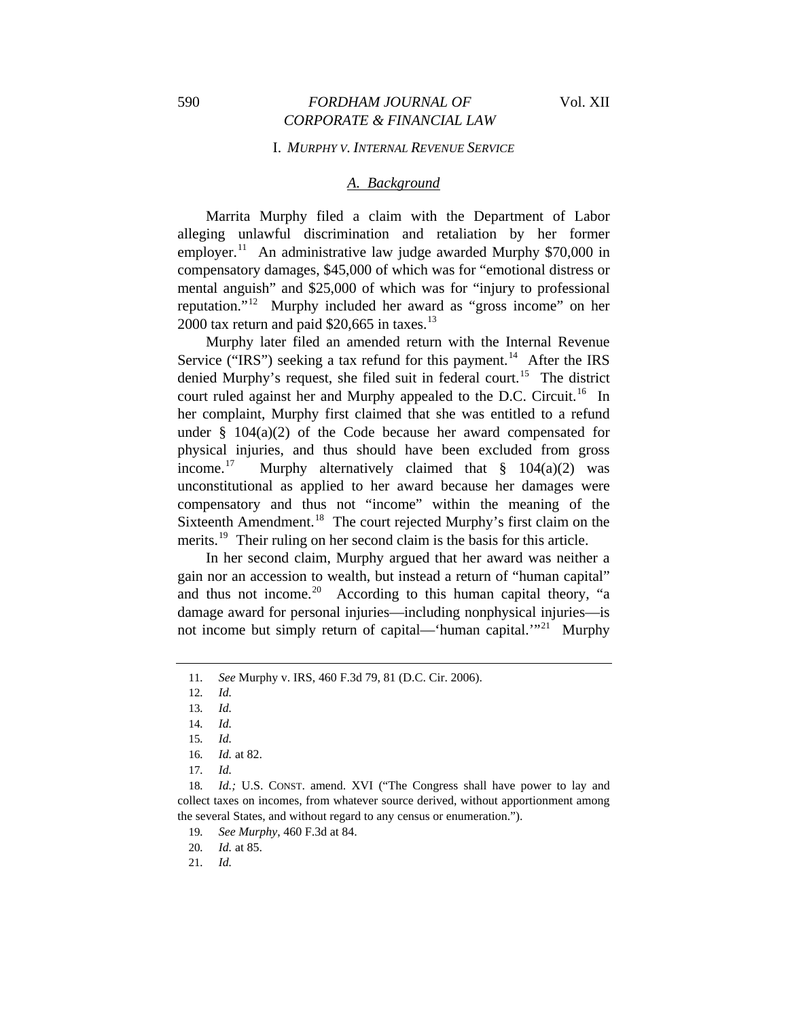#### I. *MURPHY V. INTERNAL REVENUE SERVICE*

## *A. Background*

Marrita Murphy filed a claim with the Department of Labor alleging unlawful discrimination and retaliation by her former employer.<sup>[11](#page-4-0)</sup> An administrative law judge awarded Murphy \$70,000 in compensatory damages, \$45,000 of which was for "emotional distress or mental anguish" and \$25,000 of which was for "injury to professional reputation."[12](#page-4-1) Murphy included her award as "gross income" on her 2000 tax return and paid  $$20,665$  in taxes.<sup>[13](#page-4-2)</sup>

Murphy later filed an amended return with the Internal Revenue Service ("IRS") seeking a tax refund for this payment.<sup>[14](#page-4-3)</sup> After the IRS denied Murphy's request, she filed suit in federal court.<sup>[15](#page-4-4)</sup> The district court ruled against her and Murphy appealed to the D.C. Circuit.<sup>[16](#page-4-5)</sup> In her complaint, Murphy first claimed that she was entitled to a refund under § 104(a)(2) of the Code because her award compensated for physical injuries, and thus should have been excluded from gross income.<sup>[17](#page-4-6)</sup> Murphy alternatively claimed that  $\S$  104(a)(2) was unconstitutional as applied to her award because her damages were compensatory and thus not "income" within the meaning of the Sixteenth Amendment.<sup>[18](#page-4-7)</sup> The court rejected Murphy's first claim on the merits.<sup>[19](#page-4-8)</sup> Their ruling on her second claim is the basis for this article.

In her second claim, Murphy argued that her award was neither a gain nor an accession to wealth, but instead a return of "human capital" and thus not income.<sup>[20](#page-4-9)</sup> According to this human capital theory, "a damage award for personal injuries—including nonphysical injuries—is not income but simply return of capital—'human capital.'"<sup>[21](#page-4-10)</sup> Murphy

12*. Id.*

<span id="page-4-2"></span><span id="page-4-1"></span><span id="page-4-0"></span><sup>11</sup>*. See* Murphy v. IRS, 460 F.3d 79, 81 (D.C. Cir. 2006).

<sup>13</sup>*. Id.*

<sup>14</sup>*. Id.*

<sup>15</sup>*. Id.*

<sup>16</sup>*. Id.* at 82.

<sup>17</sup>*. Id.*

<span id="page-4-9"></span><span id="page-4-8"></span><span id="page-4-7"></span><span id="page-4-6"></span><span id="page-4-5"></span><span id="page-4-4"></span><span id="page-4-3"></span><sup>18</sup>*. Id.;* U.S. CONST. amend. XVI ("The Congress shall have power to lay and collect taxes on incomes, from whatever source derived, without apportionment among the several States, and without regard to any census or enumeration.").

<sup>19</sup>*. See Murphy*, 460 F.3d at 84.

<span id="page-4-10"></span><sup>20</sup>*. Id.* at 85.

<sup>21</sup>*. Id.*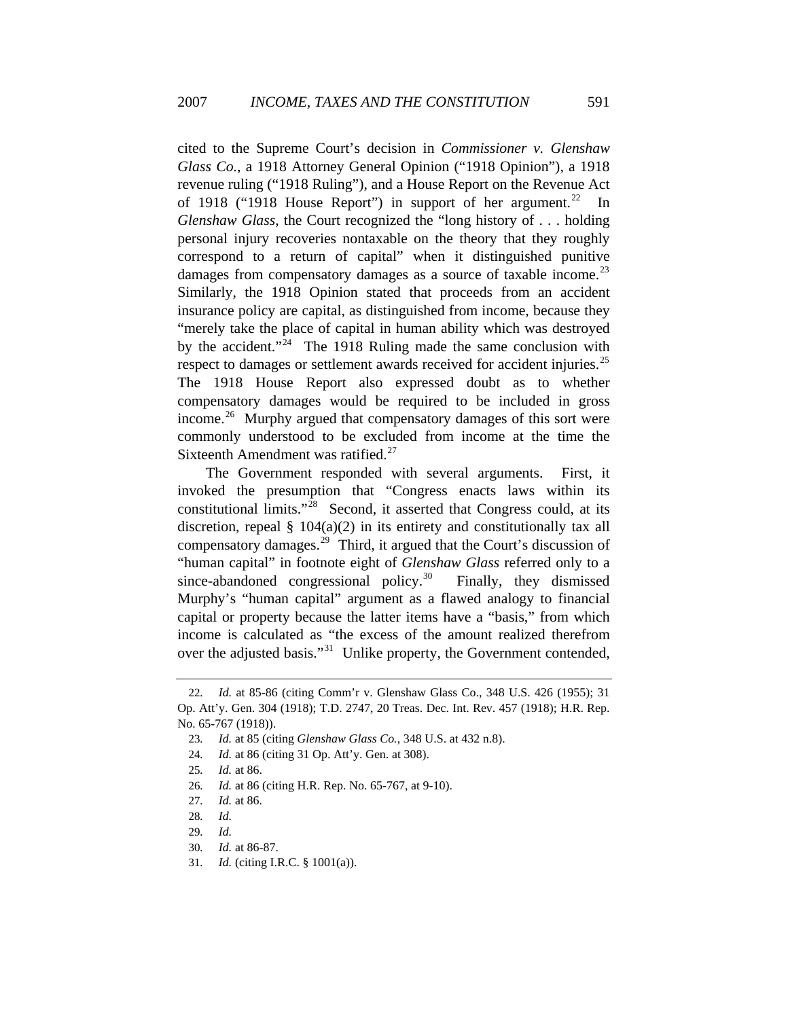cited to the Supreme Court's decision in *Commissioner v. Glenshaw Glass Co.*, a 1918 Attorney General Opinion ("1918 Opinion"), a 1918 revenue ruling ("1918 Ruling"), and a House Report on the Revenue Act of 1918 ("1918 House Report") in support of her argument.<sup>[22](#page-5-0)</sup> In *Glenshaw Glass*, the Court recognized the "long history of . . . holding personal injury recoveries nontaxable on the theory that they roughly correspond to a return of capital" when it distinguished punitive damages from compensatory damages as a source of taxable income.<sup>[23](#page-5-1)</sup> Similarly, the 1918 Opinion stated that proceeds from an accident insurance policy are capital, as distinguished from income, because they "merely take the place of capital in human ability which was destroyed by the accident."<sup>[24](#page-5-2)</sup> The 1918 Ruling made the same conclusion with respect to damages or settlement awards received for accident injuries.<sup>[25](#page-5-3)</sup> The 1918 House Report also expressed doubt as to whether compensatory damages would be required to be included in gross income.<sup>[26](#page-5-4)</sup> Murphy argued that compensatory damages of this sort were commonly understood to be excluded from income at the time the Sixteenth Amendment was ratified. $27$ 

The Government responded with several arguments. First, it invoked the presumption that "Congress enacts laws within its constitutional limits."<sup>[28](#page-5-6)</sup> Second, it asserted that Congress could, at its discretion, repeal § 104(a)(2) in its entirety and constitutionally tax all compensatory damages.[29](#page-5-7) Third, it argued that the Court's discussion of "human capital" in footnote eight of *Glenshaw Glass* referred only to a since-abandoned congressional policy.<sup>[30](#page-5-8)</sup> Finally, they dismissed Murphy's "human capital" argument as a flawed analogy to financial capital or property because the latter items have a "basis," from which income is calculated as "the excess of the amount realized therefrom over the adjusted basis."<sup>[31](#page-5-9)</sup> Unlike property, the Government contended,

<span id="page-5-2"></span><span id="page-5-1"></span><span id="page-5-0"></span><sup>22</sup>*. Id.* at 85-86 (citing Comm'r v. Glenshaw Glass Co., 348 U.S. 426 (1955); 31 Op. Att'y. Gen. 304 (1918); T.D. 2747, 20 Treas. Dec. Int. Rev. 457 (1918); H.R. Rep. No. 65-767 (1918)).

<sup>23</sup>*. Id.* at 85 (citing *Glenshaw Glass Co.*, 348 U.S. at 432 n.8).

<sup>24</sup>*. Id.* at 86 (citing 31 Op. Att'y. Gen. at 308).

<span id="page-5-3"></span><sup>25</sup>*. Id.* at 86.

<sup>26</sup>*. Id.* at 86 (citing H.R. Rep. No. 65-767, at 9-10).

<span id="page-5-6"></span><span id="page-5-5"></span><span id="page-5-4"></span><sup>27</sup>*. Id.* at 86.

<sup>28</sup>*. Id.*

<span id="page-5-8"></span><span id="page-5-7"></span><sup>29</sup>*. Id.*

<sup>30</sup>*. Id.* at 86-87.

<span id="page-5-9"></span><sup>31</sup>*. Id.* (citing I.R.C. § 1001(a)).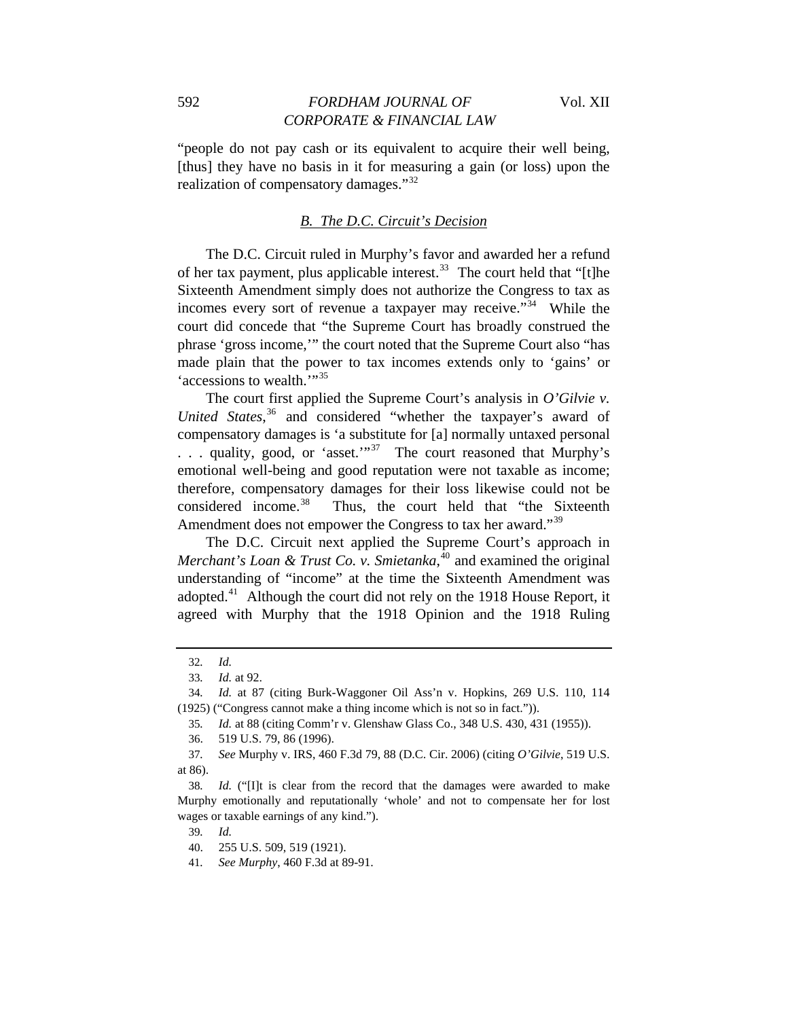"people do not pay cash or its equivalent to acquire their well being, [thus] they have no basis in it for measuring a gain (or loss) upon the realization of compensatory damages."<sup>[32](#page-6-0)</sup>

#### *B. The D.C. Circuit's Decision*

The D.C. Circuit ruled in Murphy's favor and awarded her a refund of her tax payment, plus applicable interest.<sup>[33](#page-6-1)</sup> The court held that "[t]he Sixteenth Amendment simply does not authorize the Congress to tax as incomes every sort of revenue a taxpayer may receive."[34](#page-6-2) While the court did concede that "the Supreme Court has broadly construed the phrase 'gross income,'" the court noted that the Supreme Court also "has made plain that the power to tax incomes extends only to 'gains' or 'accessions to wealth.'"<sup>[35](#page-6-3)</sup>

The court first applied the Supreme Court's analysis in *O'Gilvie v. United States*, [36](#page-6-4) and considered "whether the taxpayer's award of compensatory damages is 'a substitute for [a] normally untaxed personal ... quality, good, or 'asset.'"<sup>37</sup> The court reasoned that Murphy's emotional well-being and good reputation were not taxable as income; therefore, compensatory damages for their loss likewise could not be considered income.<sup>[38](#page-6-6)</sup> Thus, the court held that "the Sixteenth Amendment does not empower the Congress to tax her award."<sup>[39](#page-6-7)</sup>

The D.C. Circuit next applied the Supreme Court's approach in *Merchant's Loan & Trust Co. v. Smietanka*, [40](#page-6-8) and examined the original understanding of "income" at the time the Sixteenth Amendment was adopted.<sup>[41](#page-6-9)</sup> Although the court did not rely on the 1918 House Report, it agreed with Murphy that the 1918 Opinion and the 1918 Ruling

<sup>32</sup>*. Id.*

<sup>33</sup>*. Id.* at 92.

<span id="page-6-3"></span><span id="page-6-2"></span><span id="page-6-1"></span><span id="page-6-0"></span><sup>34</sup>*. Id.* at 87 (citing Burk-Waggoner Oil Ass'n v. Hopkins, 269 U.S. 110, 114 (1925) ("Congress cannot make a thing income which is not so in fact.")).

<sup>35</sup>*. Id.* at 88 (citing Comm'r v. Glenshaw Glass Co., 348 U.S. 430, 431 (1955)).

<sup>36. 519</sup> U.S. 79, 86 (1996).

<span id="page-6-5"></span><span id="page-6-4"></span><sup>37</sup>*. See* Murphy v. IRS, 460 F.3d 79, 88 (D.C. Cir. 2006) (citing *O'Gilvie*, 519 U.S. at 86).

<span id="page-6-8"></span><span id="page-6-7"></span><span id="page-6-6"></span><sup>38</sup>*. Id.* ("[I]t is clear from the record that the damages were awarded to make Murphy emotionally and reputationally 'whole' and not to compensate her for lost wages or taxable earnings of any kind.").

<sup>39</sup>*. Id.*

<sup>40. 255</sup> U.S. 509, 519 (1921).

<span id="page-6-9"></span><sup>41</sup>*. See Murphy*, 460 F.3d at 89-91.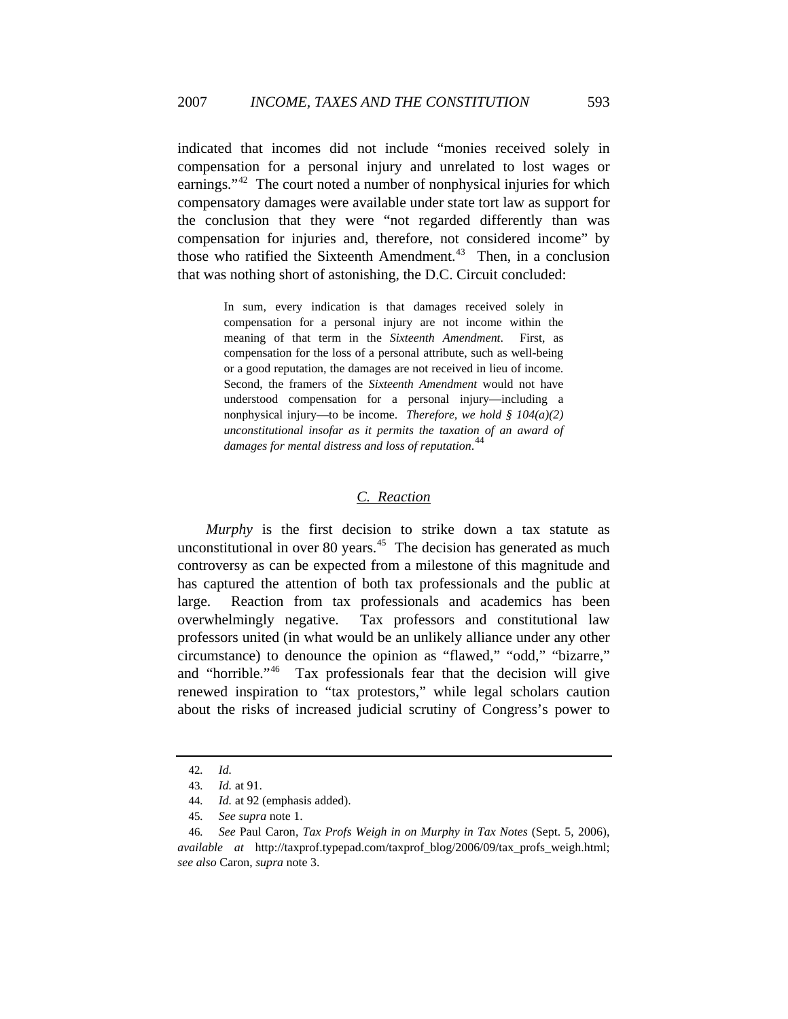indicated that incomes did not include "monies received solely in compensation for a personal injury and unrelated to lost wages or earnings."<sup>[42](#page-7-0)</sup> The court noted a number of nonphysical injuries for which compensatory damages were available under state tort law as support for the conclusion that they were "not regarded differently than was compensation for injuries and, therefore, not considered income" by those who ratified the Sixteenth Amendment.<sup>[43](#page-7-1)</sup> Then, in a conclusion that was nothing short of astonishing, the D.C. Circuit concluded:

> In sum, every indication is that damages received solely in compensation for a personal injury are not income within the meaning of that term in the *Sixteenth Amendment*. First, as compensation for the loss of a personal attribute, such as well-being or a good reputation, the damages are not received in lieu of income. Second, the framers of the *Sixteenth Amendment* would not have understood compensation for a personal injury—including a nonphysical injury—to be income. *Therefore, we hold § 104(a)(2) unconstitutional insofar as it permits the taxation of an award of damages for mental distress and loss of reputation*. [44](#page-7-2)

## *C. Reaction*

*Murphy* is the first decision to strike down a tax statute as unconstitutional in over 80 years. $45$  The decision has generated as much controversy as can be expected from a milestone of this magnitude and has captured the attention of both tax professionals and the public at large. Reaction from tax professionals and academics has been overwhelmingly negative. Tax professors and constitutional law professors united (in what would be an unlikely alliance under any other circumstance) to denounce the opinion as "flawed," "odd," "bizarre," and "horrible."[46](#page-7-4) Tax professionals fear that the decision will give renewed inspiration to "tax protestors," while legal scholars caution about the risks of increased judicial scrutiny of Congress's power to

<sup>42</sup>*. Id.*

<sup>43</sup>*. Id.* at 91.

<sup>44</sup>*. Id.* at 92 (emphasis added).

<sup>45</sup>*. See supra* note 1.

<span id="page-7-4"></span><span id="page-7-3"></span><span id="page-7-2"></span><span id="page-7-1"></span><span id="page-7-0"></span><sup>46</sup>*. See* Paul Caron, *Tax Profs Weigh in on Murphy in Tax Notes* (Sept. 5, 2006), *available at* http://taxprof.typepad.com/taxprof\_blog/2006/09/tax\_profs\_weigh.html; *see also* Caron, *supra* note 3.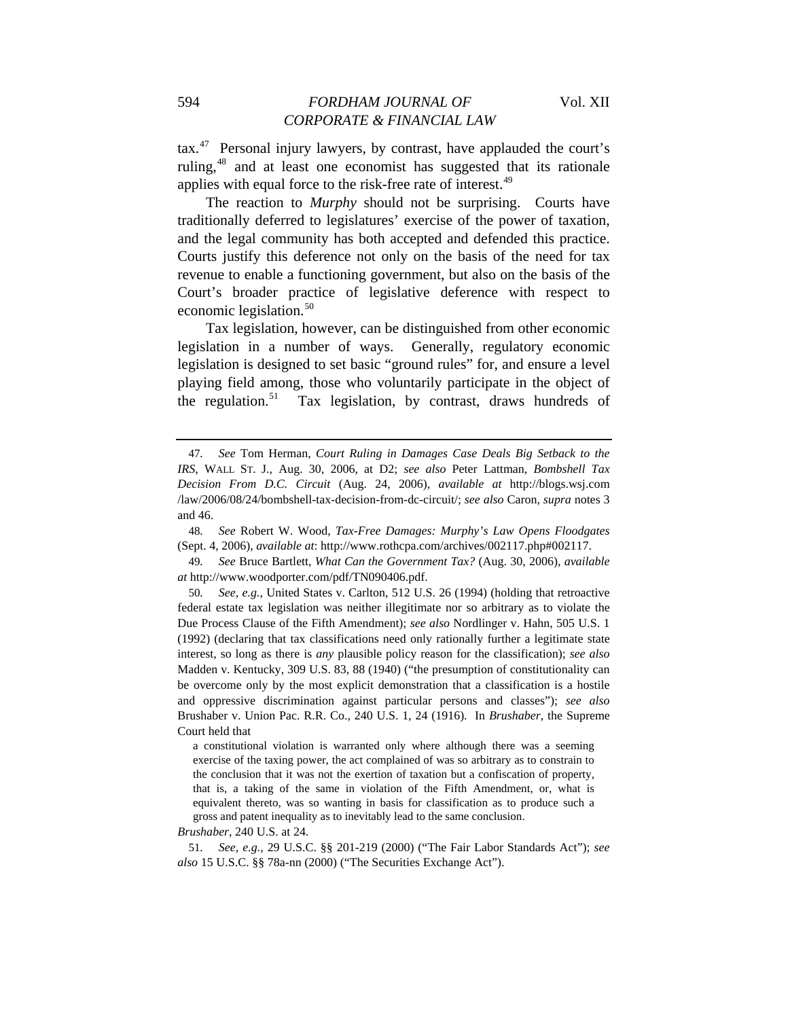tax.[47](#page-8-0) Personal injury lawyers, by contrast, have applauded the court's ruling,[48](#page-8-1) and at least one economist has suggested that its rationale applies with equal force to the risk-free rate of interest.<sup>[49](#page-8-2)</sup>

The reaction to *Murphy* should not be surprising. Courts have traditionally deferred to legislatures' exercise of the power of taxation, and the legal community has both accepted and defended this practice. Courts justify this deference not only on the basis of the need for tax revenue to enable a functioning government, but also on the basis of the Court's broader practice of legislative deference with respect to economic legislation.<sup>[50](#page-8-3)</sup>

Tax legislation, however, can be distinguished from other economic legislation in a number of ways. Generally, regulatory economic legislation is designed to set basic "ground rules" for, and ensure a level playing field among, those who voluntarily participate in the object of the regulation.<sup>[51](#page-8-4)</sup> Tax legislation, by contrast, draws hundreds of

<span id="page-8-1"></span>48*. See* Robert W. Wood, *Tax-Free Damages: Murphy's Law Opens Floodgates* (Sept. 4, 2006), *available at*: http://www.rothcpa.com/archives/002117.php#002117.

<span id="page-8-2"></span>49*. See* Bruce Bartlett, *What Can the Government Tax?* (Aug. 30, 2006), *available at* http://www.woodporter.com/pdf/TN090406.pdf.

<span id="page-8-3"></span>50*. See, e.g.*, United States v. Carlton, 512 U.S. 26 (1994) (holding that retroactive federal estate tax legislation was neither illegitimate nor so arbitrary as to violate the Due Process Clause of the Fifth Amendment); *see also* Nordlinger v. Hahn, 505 U.S. 1 (1992) (declaring that tax classifications need only rationally further a legitimate state interest, so long as there is *any* plausible policy reason for the classification); *see also*  Madden v. Kentucky, 309 U.S. 83, 88 (1940) ("the presumption of constitutionality can be overcome only by the most explicit demonstration that a classification is a hostile and oppressive discrimination against particular persons and classes"); *see also*  Brushaber v. Union Pac. R.R. Co., 240 U.S. 1, 24 (1916). In *Brushaber*, the Supreme Court held that

a constitutional violation is warranted only where although there was a seeming exercise of the taxing power, the act complained of was so arbitrary as to constrain to the conclusion that it was not the exertion of taxation but a confiscation of property, that is, a taking of the same in violation of the Fifth Amendment, or, what is equivalent thereto, was so wanting in basis for classification as to produce such a gross and patent inequality as to inevitably lead to the same conclusion.

*Brushaber*, 240 U.S. at 24.

<span id="page-8-4"></span>51*. See, e.g.,* 29 U.S.C. §§ 201-219 (2000) ("The Fair Labor Standards Act"); *see also* 15 U.S.C. §§ 78a-nn (2000) ("The Securities Exchange Act").

<span id="page-8-0"></span><sup>47</sup>*. See* Tom Herman, *Court Ruling in Damages Case Deals Big Setback to the IRS*, WALL ST. J., Aug. 30, 2006, at D2; *see also* Peter Lattman, *Bombshell Tax Decision From D.C. Circuit* (Aug. 24, 2006), *available at* http://blogs.wsj.com /law/2006/08/24/bombshell-tax-decision-from-dc-circuit/; *see also* Caron, *supra* notes 3 and 46.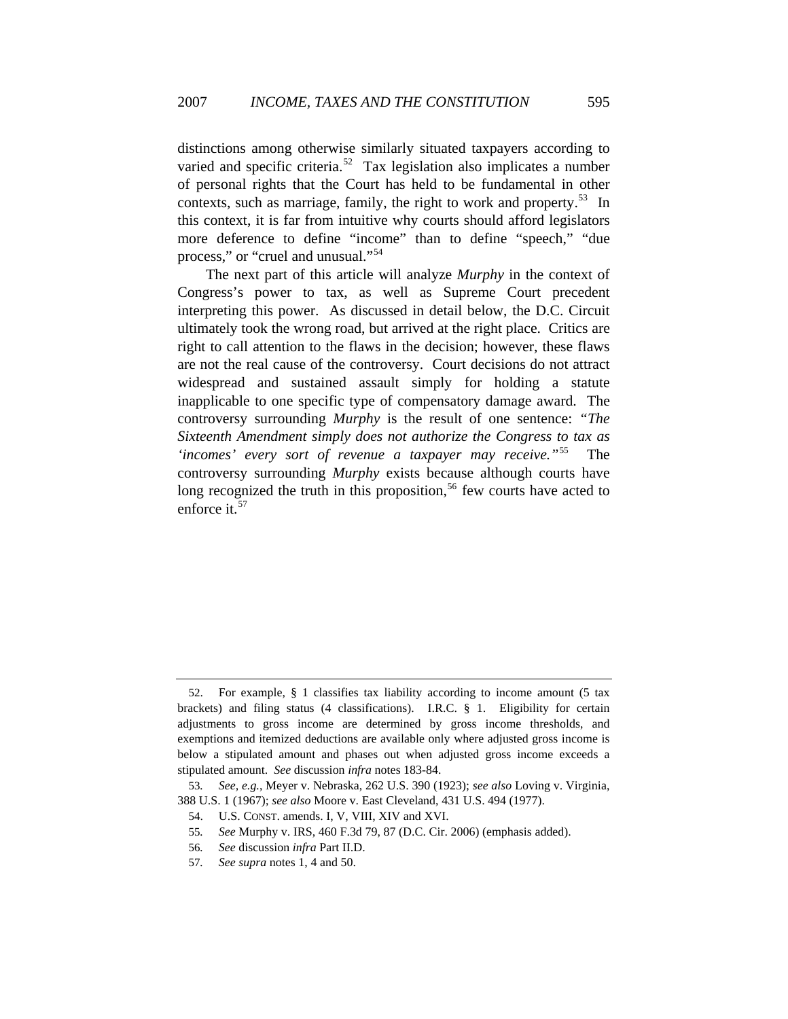distinctions among otherwise similarly situated taxpayers according to varied and specific criteria.<sup>[52](#page-9-0)</sup> Tax legislation also implicates a number of personal rights that the Court has held to be fundamental in other contexts, such as marriage, family, the right to work and property.<sup>[53](#page-9-1)</sup> In this context, it is far from intuitive why courts should afford legislators more deference to define "income" than to define "speech," "due process," or "cruel and unusual."[54](#page-9-2)

The next part of this article will analyze *Murphy* in the context of Congress's power to tax, as well as Supreme Court precedent interpreting this power. As discussed in detail below, the D.C. Circuit ultimately took the wrong road, but arrived at the right place. Critics are right to call attention to the flaws in the decision; however, these flaws are not the real cause of the controversy. Court decisions do not attract widespread and sustained assault simply for holding a statute inapplicable to one specific type of compensatory damage award. The controversy surrounding *Murphy* is the result of one sentence: *"The Sixteenth Amendment simply does not authorize the Congress to tax as 'incomes' every sort of revenue a taxpayer may receive."*[55](#page-9-3) The controversy surrounding *Murphy* exists because although courts have long recognized the truth in this proposition,<sup>[56](#page-9-4)</sup> few courts have acted to enforce it.<sup>[57](#page-9-5)</sup>

<span id="page-9-0"></span><sup>52.</sup> For example, § 1 classifies tax liability according to income amount (5 tax brackets) and filing status (4 classifications). I.R.C. § 1. Eligibility for certain adjustments to gross income are determined by gross income thresholds, and exemptions and itemized deductions are available only where adjusted gross income is below a stipulated amount and phases out when adjusted gross income exceeds a stipulated amount. *See* discussion *infra* notes 183-84.

<span id="page-9-4"></span><span id="page-9-3"></span><span id="page-9-2"></span><span id="page-9-1"></span><sup>53</sup>*. See, e.g.*, Meyer v. Nebraska, 262 U.S. 390 (1923); *see also* Loving v. Virginia, 388 U.S. 1 (1967); *see also* Moore v. East Cleveland, 431 U.S. 494 (1977).

<sup>54.</sup> U.S. CONST. amends. I, V, VIII, XIV and XVI.

<sup>55</sup>*. See* Murphy v. IRS, 460 F.3d 79, 87 (D.C. Cir. 2006) (emphasis added).

<sup>56</sup>*. See* discussion *infra* Part II.D.

<span id="page-9-5"></span><sup>57</sup>*. See supra* notes 1, 4 and 50.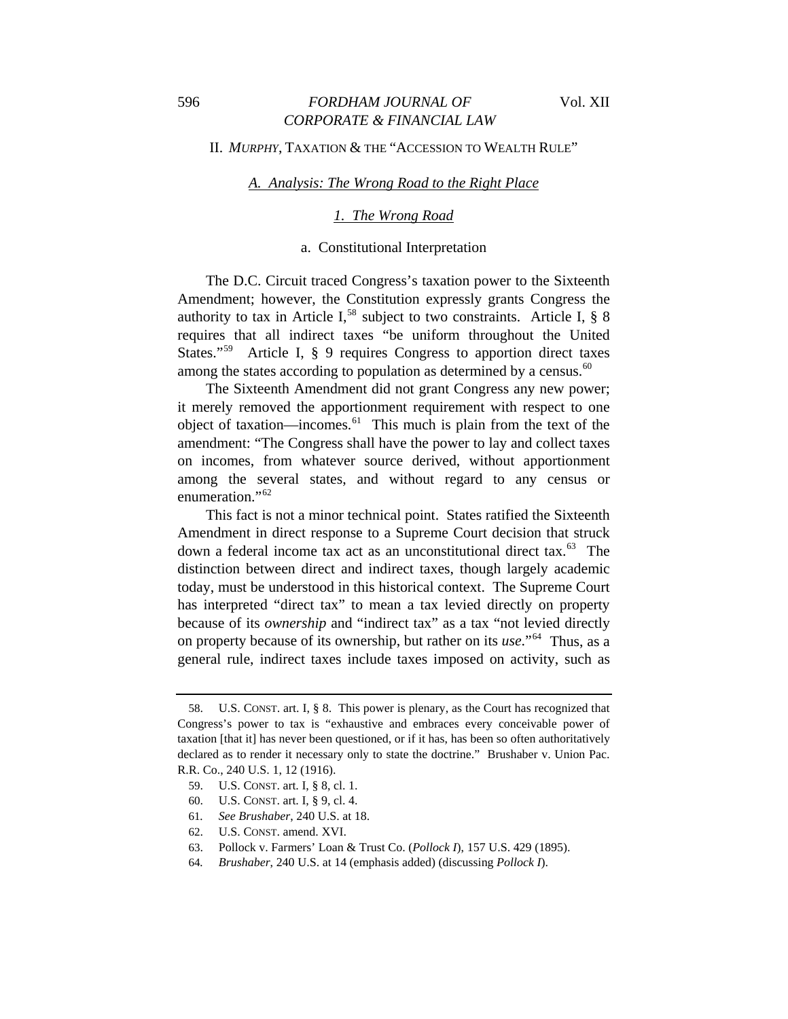#### II. *MURPHY*, TAXATION & THE "ACCESSION TO WEALTH RULE"

#### *A. Analysis: The Wrong Road to the Right Place*

#### *1. The Wrong Road*

#### a. Constitutional Interpretation

The D.C. Circuit traced Congress's taxation power to the Sixteenth Amendment; however, the Constitution expressly grants Congress the authority to tax in Article I,<sup>[58](#page-10-0)</sup> subject to two constraints. Article I,  $\S$  8 requires that all indirect taxes "be uniform throughout the United States."<sup>[59](#page-10-1)</sup> Article I, § 9 requires Congress to apportion direct taxes among the states according to population as determined by a census.<sup>[60](#page-10-2)</sup>

The Sixteenth Amendment did not grant Congress any new power; it merely removed the apportionment requirement with respect to one object of taxation—incomes.[61](#page-10-3) This much is plain from the text of the amendment: "The Congress shall have the power to lay and collect taxes on incomes, from whatever source derived, without apportionment among the several states, and without regard to any census or enumeration."<sup>[62](#page-10-4)</sup>

This fact is not a minor technical point. States ratified the Sixteenth Amendment in direct response to a Supreme Court decision that struck down a federal income tax act as an unconstitutional direct tax.<sup>[63](#page-10-5)</sup> The distinction between direct and indirect taxes, though largely academic today, must be understood in this historical context. The Supreme Court has interpreted "direct tax" to mean a tax levied directly on property because of its *ownership* and "indirect tax" as a tax "not levied directly on property because of its ownership, but rather on its *use*."[64](#page-10-6) Thus, as a general rule, indirect taxes include taxes imposed on activity, such as

<span id="page-10-0"></span><sup>58.</sup> U.S. CONST. art. I, § 8. This power is plenary, as the Court has recognized that Congress's power to tax is "exhaustive and embraces every conceivable power of taxation [that it] has never been questioned, or if it has, has been so often authoritatively declared as to render it necessary only to state the doctrine." Brushaber v. Union Pac. R.R. Co., 240 U.S. 1, 12 (1916).

<span id="page-10-1"></span><sup>59.</sup> U.S. CONST. art. I, § 8, cl. 1.

<span id="page-10-2"></span><sup>60.</sup> U.S. CONST. art. I, § 9, cl. 4.

<span id="page-10-3"></span><sup>61</sup>*. See Brushaber*, 240 U.S. at 18.

<span id="page-10-5"></span><span id="page-10-4"></span><sup>62.</sup> U.S. CONST. amend. XVI.

<span id="page-10-6"></span><sup>63.</sup> Pollock v. Farmers' Loan & Trust Co. (*Pollock I*), 157 U.S. 429 (1895).

<sup>64</sup>*. Brushaber*, 240 U.S. at 14 (emphasis added) (discussing *Pollock I*).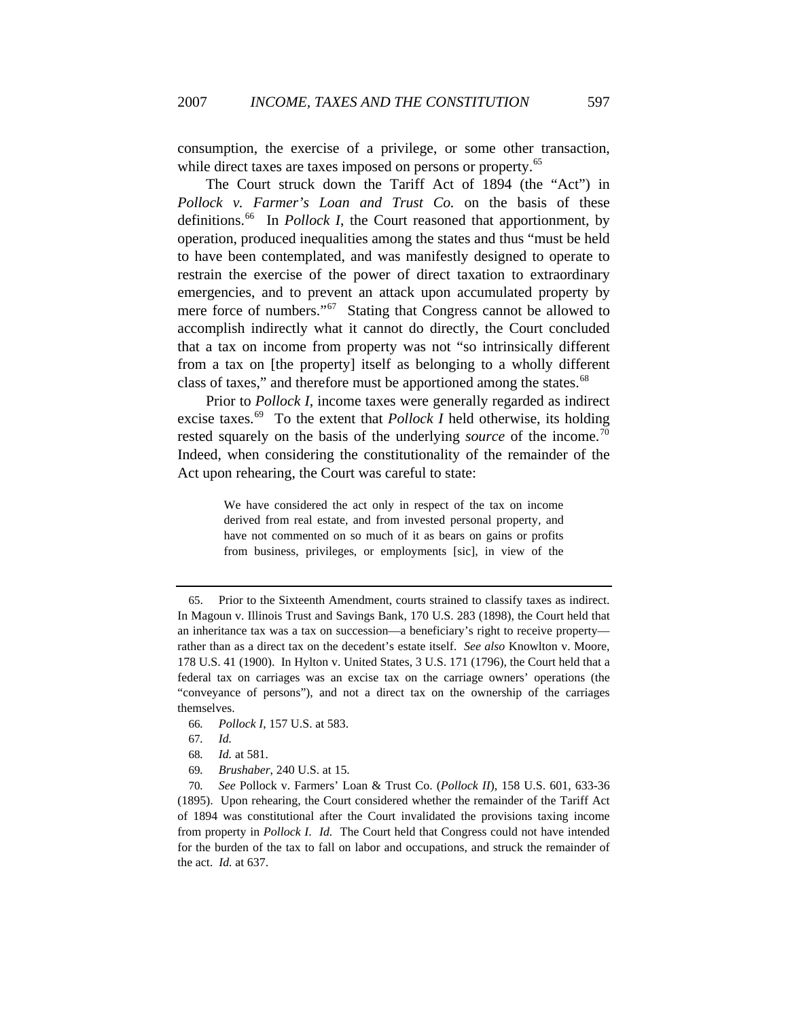consumption, the exercise of a privilege, or some other transaction, while direct taxes are taxes imposed on persons or property.<sup>[65](#page-11-0)</sup>

The Court struck down the Tariff Act of 1894 (the "Act") in *Pollock v. Farmer's Loan and Trust Co.* on the basis of these definitions.<sup>[66](#page-11-1)</sup> In *Pollock I*, the Court reasoned that apportionment, by operation, produced inequalities among the states and thus "must be held to have been contemplated, and was manifestly designed to operate to restrain the exercise of the power of direct taxation to extraordinary emergencies, and to prevent an attack upon accumulated property by mere force of numbers."<sup>[67](#page-11-2)</sup> Stating that Congress cannot be allowed to accomplish indirectly what it cannot do directly, the Court concluded that a tax on income from property was not "so intrinsically different from a tax on [the property] itself as belonging to a wholly different class of taxes," and therefore must be apportioned among the states.<sup>[68](#page-11-3)</sup>

Prior to *Pollock I*, income taxes were generally regarded as indirect excise taxes.<sup>[69](#page-11-4)</sup> To the extent that *Pollock I* held otherwise, its holding rested squarely on the basis of the underlying *source* of the income.<sup>[70](#page-11-5)</sup> Indeed, when considering the constitutionality of the remainder of the Act upon rehearing, the Court was careful to state:

> We have considered the act only in respect of the tax on income derived from real estate, and from invested personal property, and have not commented on so much of it as bears on gains or profits from business, privileges, or employments [sic], in view of the

<span id="page-11-1"></span>66*. Pollock I*, 157 U.S. at 583.

69*. Brushaber*, 240 U.S. at 15.

<span id="page-11-5"></span><span id="page-11-4"></span><span id="page-11-3"></span><span id="page-11-2"></span>70*. See* Pollock v. Farmers' Loan & Trust Co. (*Pollock II*), 158 U.S. 601, 633-36 (1895). Upon rehearing, the Court considered whether the remainder of the Tariff Act of 1894 was constitutional after the Court invalidated the provisions taxing income from property in *Pollock I*. *Id.* The Court held that Congress could not have intended for the burden of the tax to fall on labor and occupations, and struck the remainder of the act. *Id.* at 637.

<span id="page-11-0"></span><sup>65.</sup> Prior to the Sixteenth Amendment, courts strained to classify taxes as indirect. In Magoun v. Illinois Trust and Savings Bank, 170 U.S. 283 (1898), the Court held that an inheritance tax was a tax on succession—a beneficiary's right to receive property rather than as a direct tax on the decedent's estate itself. *See also* Knowlton v. Moore, 178 U.S. 41 (1900). In Hylton v. United States, 3 U.S. 171 (1796), the Court held that a federal tax on carriages was an excise tax on the carriage owners' operations (the "conveyance of persons"), and not a direct tax on the ownership of the carriages themselves.

<sup>67</sup>*. Id.*

<sup>68</sup>*. Id.* at 581.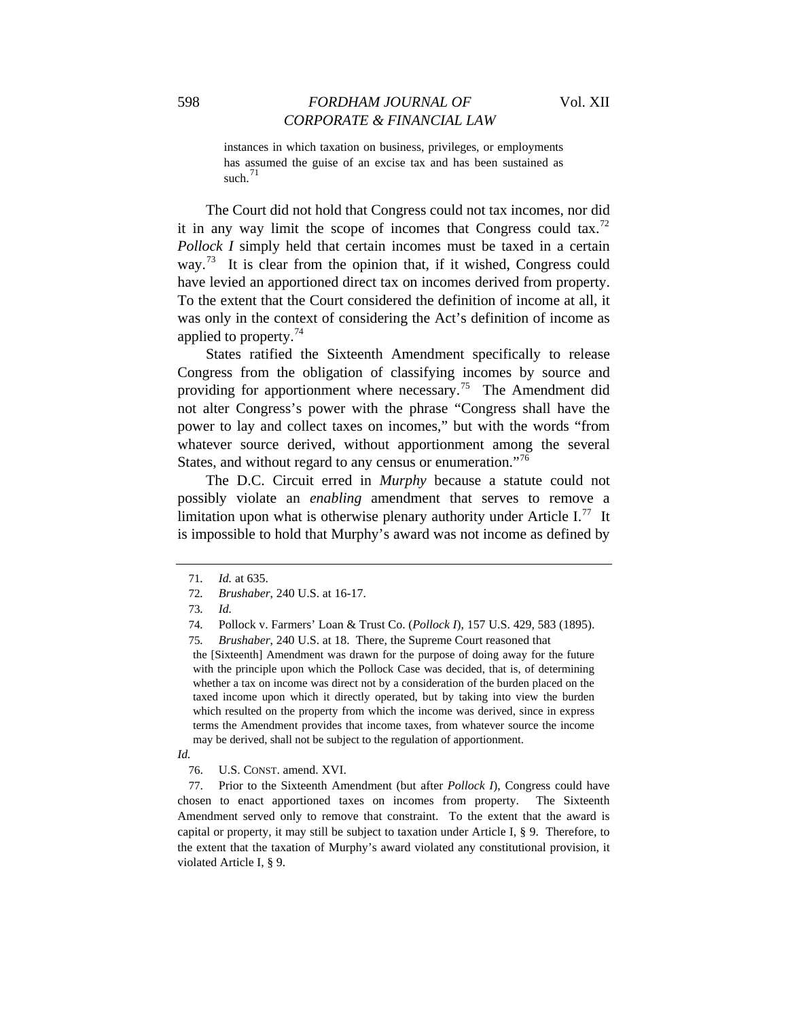instances in which taxation on business, privileges, or employments has assumed the guise of an excise tax and has been sustained as such. $71$ 

The Court did not hold that Congress could not tax incomes, nor did it in any way limit the scope of incomes that Congress could tax.<sup>[72](#page-12-1)</sup> *Pollock I* simply held that certain incomes must be taxed in a certain way.<sup>[73](#page-12-2)</sup> It is clear from the opinion that, if it wished, Congress could have levied an apportioned direct tax on incomes derived from property. To the extent that the Court considered the definition of income at all, it was only in the context of considering the Act's definition of income as applied to property.<sup>[74](#page-12-3)</sup>

States ratified the Sixteenth Amendment specifically to release Congress from the obligation of classifying incomes by source and providing for apportionment where necessary.<sup>[75](#page-12-4)</sup> The Amendment did not alter Congress's power with the phrase "Congress shall have the power to lay and collect taxes on incomes," but with the words "from whatever source derived, without apportionment among the several States, and without regard to any census or enumeration."<sup>[76](#page-12-5)</sup>

The D.C. Circuit erred in *Murphy* because a statute could not possibly violate an *enabling* amendment that serves to remove a limitation upon what is otherwise plenary authority under Article  $I^{77}$  $I^{77}$  $I^{77}$ . It is impossible to hold that Murphy's award was not income as defined by

the [Sixteenth] Amendment was drawn for the purpose of doing away for the future with the principle upon which the Pollock Case was decided, that is, of determining whether a tax on income was direct not by a consideration of the burden placed on the taxed income upon which it directly operated, but by taking into view the burden which resulted on the property from which the income was derived, since in express terms the Amendment provides that income taxes, from whatever source the income may be derived, shall not be subject to the regulation of apportionment.

<span id="page-12-6"></span>77. Prior to the Sixteenth Amendment (but after *Pollock I*), Congress could have chosen to enact apportioned taxes on incomes from property. The Sixteenth Amendment served only to remove that constraint. To the extent that the award is capital or property, it may still be subject to taxation under Article I, § 9. Therefore, to the extent that the taxation of Murphy's award violated any constitutional provision, it violated Article I, § 9.

<sup>71</sup>*. Id.* at 635.

<span id="page-12-2"></span><span id="page-12-1"></span><span id="page-12-0"></span><sup>72</sup>*. Brushaber*, 240 U.S. at 16-17.

<sup>73</sup>*. Id.*

<span id="page-12-3"></span><sup>74</sup>*.* Pollock v. Farmers' Loan & Trust Co. (*Pollock I*), 157 U.S. 429, 583 (1895).

<span id="page-12-4"></span><sup>75</sup>*. Brushaber*, 240 U.S. at 18. There, the Supreme Court reasoned that

<span id="page-12-5"></span>*Id.* 

<sup>76.</sup> U.S. CONST. amend. XVI.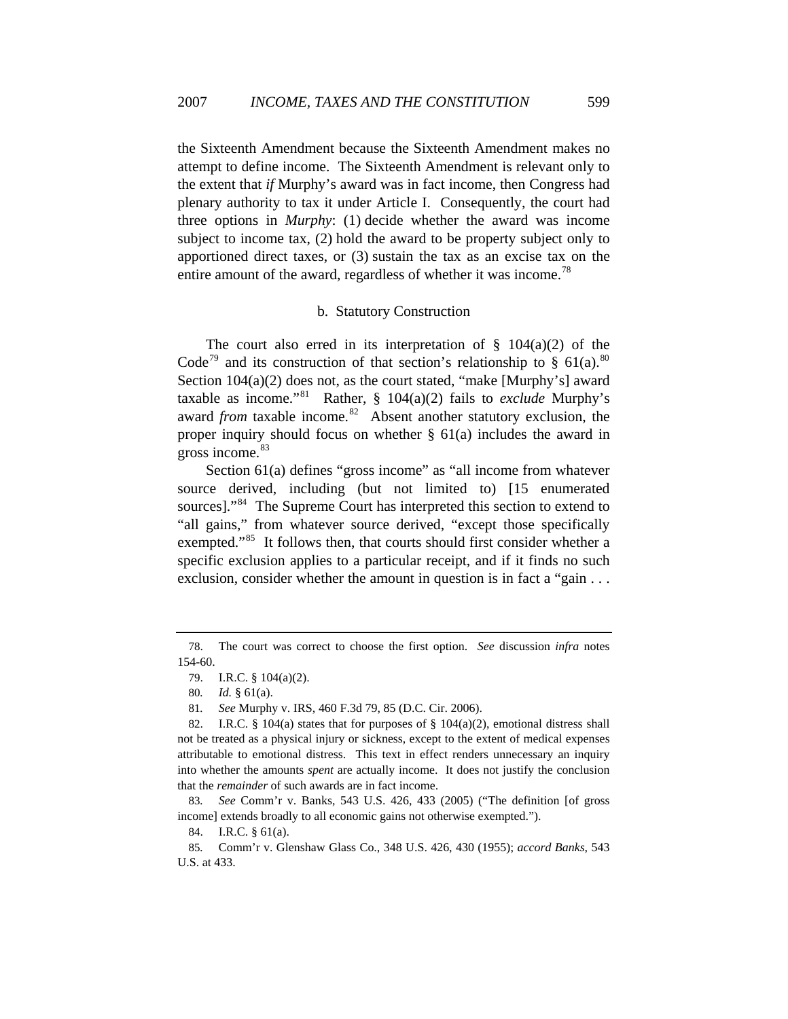the Sixteenth Amendment because the Sixteenth Amendment makes no attempt to define income. The Sixteenth Amendment is relevant only to the extent that *if* Murphy's award was in fact income, then Congress had plenary authority to tax it under Article I. Consequently, the court had three options in *Murphy*: (1) decide whether the award was income subject to income tax, (2) hold the award to be property subject only to apportioned direct taxes, or (3) sustain the tax as an excise tax on the entire amount of the award, regardless of whether it was income.<sup>[78](#page-13-0)</sup>

#### b. Statutory Construction

The court also erred in its interpretation of  $\S$  104(a)(2) of the Code<sup>[79](#page-13-1)</sup> and its construction of that section's relationship to § 61(a).<sup>80</sup> Section 104(a)(2) does not, as the court stated, "make [Murphy's] award taxable as income."[81](#page-13-3) Rather, § 104(a)(2) fails to *exclude* Murphy's award *from* taxable income.<sup>[82](#page-13-4)</sup> Absent another statutory exclusion, the proper inquiry should focus on whether § 61(a) includes the award in gross income.<sup>[83](#page-13-5)</sup>

Section 61(a) defines "gross income" as "all income from whatever source derived, including (but not limited to) [15 enumerated sources]."<sup>[84](#page-13-6)</sup> The Supreme Court has interpreted this section to extend to "all gains," from whatever source derived, "except those specifically exempted."<sup>[85](#page-13-7)</sup> It follows then, that courts should first consider whether a specific exclusion applies to a particular receipt, and if it finds no such exclusion, consider whether the amount in question is in fact a "gain . . .

84. I.R.C. § 61(a).

<span id="page-13-1"></span><span id="page-13-0"></span><sup>78.</sup> The court was correct to choose the first option. *See* discussion *infra* notes 154-60.

<sup>79.</sup> I.R.C. § 104(a)(2).

<sup>80</sup>*. Id.* § 61(a).

<sup>81</sup>*. See* Murphy v. IRS, 460 F.3d 79, 85 (D.C. Cir. 2006).

<span id="page-13-4"></span><span id="page-13-3"></span><span id="page-13-2"></span><sup>82.</sup> I.R.C. § 104(a) states that for purposes of § 104(a)(2), emotional distress shall not be treated as a physical injury or sickness, except to the extent of medical expenses attributable to emotional distress. This text in effect renders unnecessary an inquiry into whether the amounts *spent* are actually income. It does not justify the conclusion that the *remainder* of such awards are in fact income.

<span id="page-13-5"></span><sup>83</sup>*. See* Comm'r v. Banks, 543 U.S. 426, 433 (2005) ("The definition [of gross income] extends broadly to all economic gains not otherwise exempted.").

<span id="page-13-7"></span><span id="page-13-6"></span><sup>85</sup>*.* Comm'r v. Glenshaw Glass Co., 348 U.S. 426, 430 (1955); *accord Banks*, 543 U.S. at 433.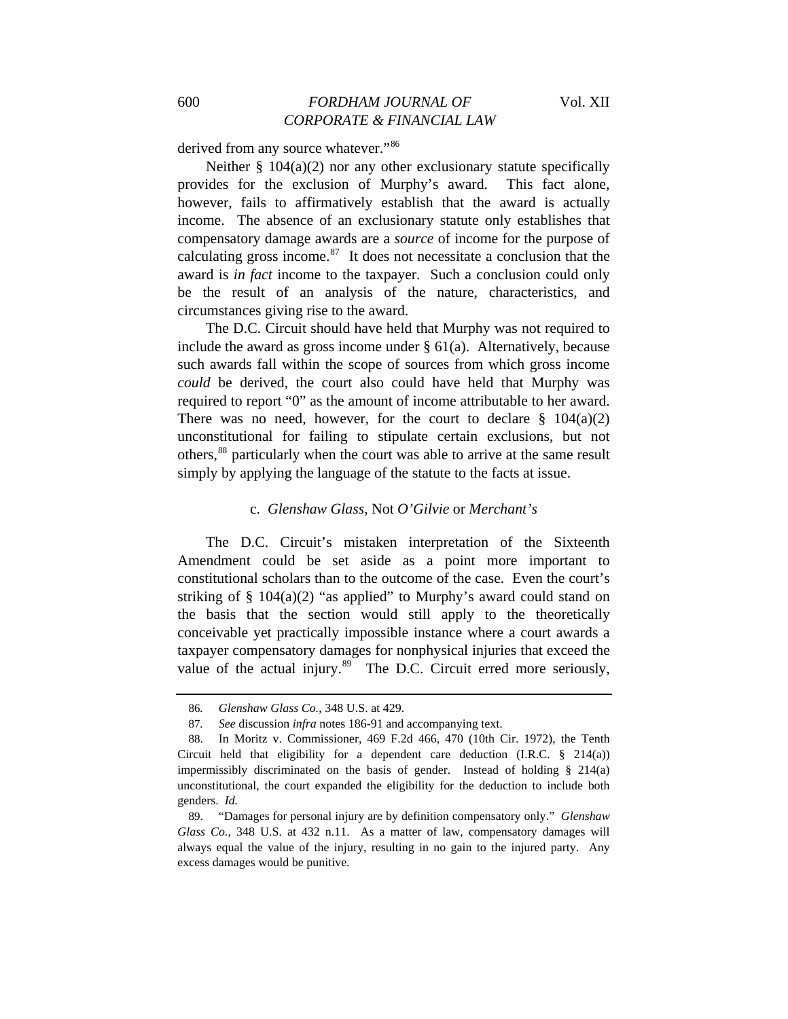derived from any source whatever."<sup>[86](#page-14-0)</sup>

Neither  $\S$  104(a)(2) nor any other exclusionary statute specifically provides for the exclusion of Murphy's award. This fact alone, however, fails to affirmatively establish that the award is actually income. The absence of an exclusionary statute only establishes that compensatory damage awards are a *source* of income for the purpose of calculating gross income. $87$  It does not necessitate a conclusion that the award is *in fact* income to the taxpayer. Such a conclusion could only be the result of an analysis of the nature, characteristics, and circumstances giving rise to the award.

The D.C. Circuit should have held that Murphy was not required to include the award as gross income under  $\S$  61(a). Alternatively, because such awards fall within the scope of sources from which gross income *could* be derived, the court also could have held that Murphy was required to report "0" as the amount of income attributable to her award. There was no need, however, for the court to declare  $\S$  104(a)(2) unconstitutional for failing to stipulate certain exclusions, but not others,<sup>[88](#page-14-2)</sup> particularly when the court was able to arrive at the same result simply by applying the language of the statute to the facts at issue.

#### c. *Glenshaw Glass*, Not *O'Gilvie* or *Merchant's*

The D.C. Circuit's mistaken interpretation of the Sixteenth Amendment could be set aside as a point more important to constitutional scholars than to the outcome of the case. Even the court's striking of  $\S$  104(a)(2) "as applied" to Murphy's award could stand on the basis that the section would still apply to the theoretically conceivable yet practically impossible instance where a court awards a taxpayer compensatory damages for nonphysical injuries that exceed the value of the actual injury. $89$  The D.C. Circuit erred more seriously,

<sup>86</sup>*. Glenshaw Glass Co.*, 348 U.S. at 429.

<sup>87</sup>*. See* discussion *infra* notes 186-91 and accompanying text.

<span id="page-14-2"></span><span id="page-14-1"></span><span id="page-14-0"></span><sup>88.</sup> In Moritz v. Commissioner, 469 F.2d 466, 470 (10th Cir. 1972), the Tenth Circuit held that eligibility for a dependent care deduction (I.R.C.  $\S$  214(a)) impermissibly discriminated on the basis of gender. Instead of holding § 214(a) unconstitutional, the court expanded the eligibility for the deduction to include both genders. *Id.*

<span id="page-14-3"></span><sup>89. &</sup>quot;Damages for personal injury are by definition compensatory only." *Glenshaw Glass Co.*, 348 U.S. at 432 n.11. As a matter of law, compensatory damages will always equal the value of the injury, resulting in no gain to the injured party. Any excess damages would be punitive.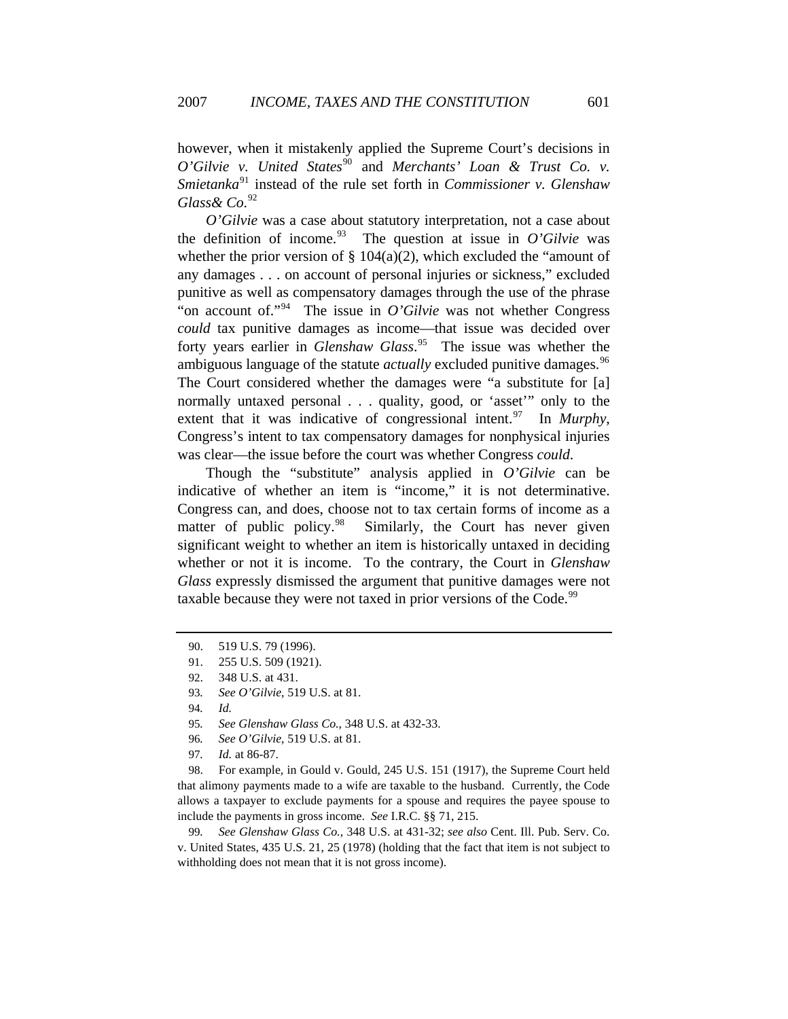however, when it mistakenly applied the Supreme Court's decisions in *O'Gilvie v. United States*<sup>[90](#page-15-0)</sup> and *Merchants' Loan & Trust Co. v. Smietanka*[91](#page-15-1) instead of the rule set forth in *Commissioner v. Glenshaw Glass& Co*. [92](#page-15-2)

*O'Gilvie* was a case about statutory interpretation, not a case about the definition of income.<sup>[93](#page-15-3)</sup> The question at issue in  $O'Glvie$  was whether the prior version of  $\S$  104(a)(2), which excluded the "amount of any damages . . . on account of personal injuries or sickness," excluded punitive as well as compensatory damages through the use of the phrase "on account of."<sup>[94](#page-15-4)</sup> The issue in *O'Gilvie* was not whether Congress *could* tax punitive damages as income—that issue was decided over forty years earlier in *Glenshaw Glass*. [95](#page-15-5) The issue was whether the ambiguous language of the statute *actually* excluded punitive damages.<sup>[96](#page-15-6)</sup> The Court considered whether the damages were "a substitute for [a] normally untaxed personal . . . quality, good, or 'asset'" only to the extent that it was indicative of congressional intent.<sup>[97](#page-15-7)</sup> In *Murphy*, Congress's intent to tax compensatory damages for nonphysical injuries was clear—the issue before the court was whether Congress *could*.

Though the "substitute" analysis applied in *O'Gilvie* can be indicative of whether an item is "income," it is not determinative. Congress can, and does, choose not to tax certain forms of income as a matter of public policy.<sup>[98](#page-15-8)</sup> Similarly, the Court has never given significant weight to whether an item is historically untaxed in deciding whether or not it is income. To the contrary, the Court in *Glenshaw Glass* expressly dismissed the argument that punitive damages were not taxable because they were not taxed in prior versions of the Code.<sup>[99](#page-15-9)</sup>

- 95*. See Glenshaw Glass Co.*, 348 U.S. at 432-33.
- 96*. See O'Gilvie*, 519 U.S. at 81.
- 97*. Id.* at 86-87.

<span id="page-15-8"></span><span id="page-15-7"></span><span id="page-15-6"></span><span id="page-15-5"></span>98. For example, in Gould v. Gould, 245 U.S. 151 (1917), the Supreme Court held that alimony payments made to a wife are taxable to the husband. Currently, the Code allows a taxpayer to exclude payments for a spouse and requires the payee spouse to include the payments in gross income. *See* I.R.C. §§ 71, 215.

<span id="page-15-9"></span>99*. See Glenshaw Glass Co.*, 348 U.S. at 431-32; *see also* Cent. Ill. Pub. Serv. Co. v. United States, 435 U.S. 21, 25 (1978) (holding that the fact that item is not subject to withholding does not mean that it is not gross income).

<sup>90. 519</sup> U.S. 79 (1996).

<span id="page-15-2"></span><span id="page-15-1"></span><span id="page-15-0"></span><sup>91. 255</sup> U.S. 509 (1921).

<sup>92. 348</sup> U.S. at 431.

<span id="page-15-4"></span><span id="page-15-3"></span><sup>93</sup>*. See O'Gilvie*, 519 U.S. at 81.

<sup>94</sup>*. Id.*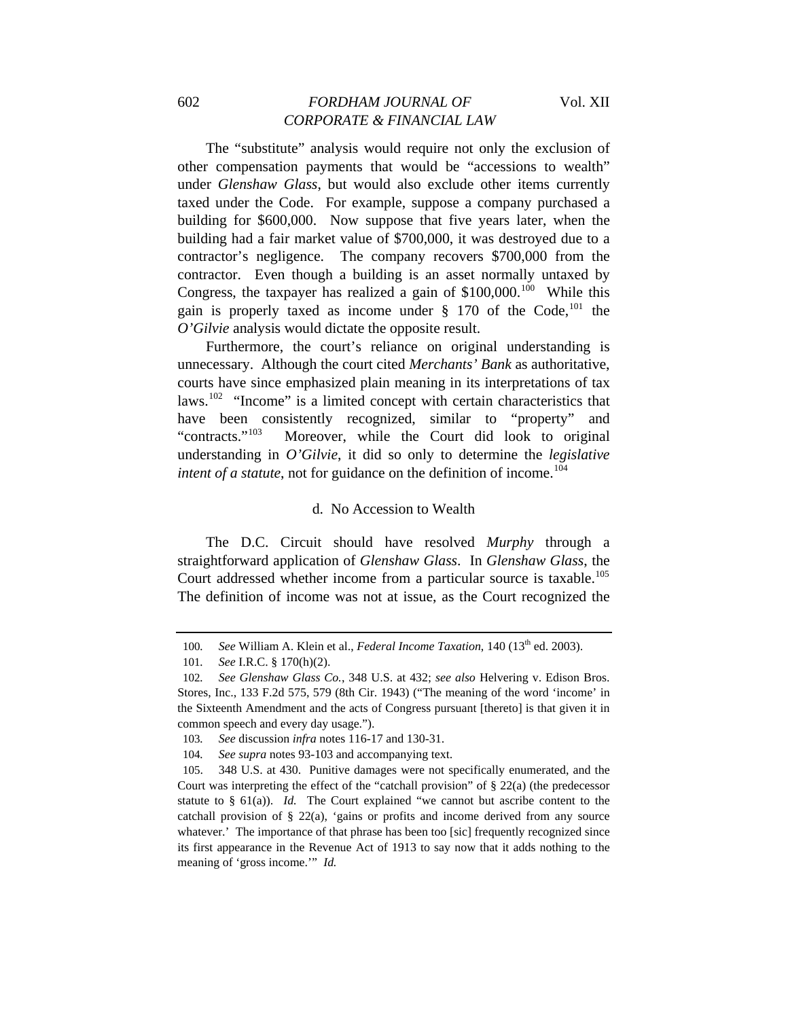## 602 *FORDHAM JOURNAL OF* Vol. XII *CORPORATE & FINANCIAL LAW*

The "substitute" analysis would require not only the exclusion of other compensation payments that would be "accessions to wealth" under *Glenshaw Glass*, but would also exclude other items currently taxed under the Code. For example, suppose a company purchased a building for \$600,000. Now suppose that five years later, when the building had a fair market value of \$700,000, it was destroyed due to a contractor's negligence. The company recovers \$700,000 from the contractor. Even though a building is an asset normally untaxed by Congress, the taxpayer has realized a gain of  $$100,000$  $$100,000$  $$100,000$ .<sup>100</sup> While this gain is properly taxed as income under  $\S$  170 of the Code,<sup>[101](#page-16-1)</sup> the *O'Gilvie* analysis would dictate the opposite result.

Furthermore, the court's reliance on original understanding is unnecessary. Although the court cited *Merchants' Bank* as authoritative, courts have since emphasized plain meaning in its interpretations of tax laws.<sup>[102](#page-16-2)</sup> "Income" is a limited concept with certain characteristics that have been consistently recognized, similar to "property" and "contracts."<sup>[103](#page-16-3)</sup> Moreover, while the Court did look to original understanding in *O'Gilvie*, it did so only to determine the *legislative intent of a statute*, not for guidance on the definition of income.<sup>[104](#page-16-4)</sup>

#### d. No Accession to Wealth

The D.C. Circuit should have resolved *Murphy* through a straightforward application of *Glenshaw Glass*. In *Glenshaw Glass*, the Court addressed whether income from a particular source is taxable.<sup>[105](#page-16-5)</sup> The definition of income was not at issue, as the Court recognized the

<sup>100.</sup> See William A. Klein et al., *Federal Income Taxation*, 140 (13<sup>th</sup> ed. 2003).

<sup>101</sup>*. See* I.R.C. § 170(h)(2).

<span id="page-16-2"></span><span id="page-16-1"></span><span id="page-16-0"></span><sup>102</sup>*. See Glenshaw Glass Co.*, 348 U.S. at 432; *see also* Helvering v. Edison Bros. Stores, Inc., 133 F.2d 575, 579 (8th Cir. 1943) ("The meaning of the word 'income' in the Sixteenth Amendment and the acts of Congress pursuant [thereto] is that given it in common speech and every day usage.").

<sup>103</sup>*. See* discussion *infra* notes 116-17 and 130-31.

<sup>104</sup>*. See supra* notes 93-103 and accompanying text.

<span id="page-16-5"></span><span id="page-16-4"></span><span id="page-16-3"></span><sup>105. 348</sup> U.S. at 430. Punitive damages were not specifically enumerated, and the Court was interpreting the effect of the "catchall provision" of § 22(a) (the predecessor statute to  $\S$  61(a)). *Id.* The Court explained "we cannot but ascribe content to the catchall provision of § 22(a), 'gains or profits and income derived from any source whatever.' The importance of that phrase has been too [sic] frequently recognized since its first appearance in the Revenue Act of 1913 to say now that it adds nothing to the meaning of 'gross income.'" *Id.*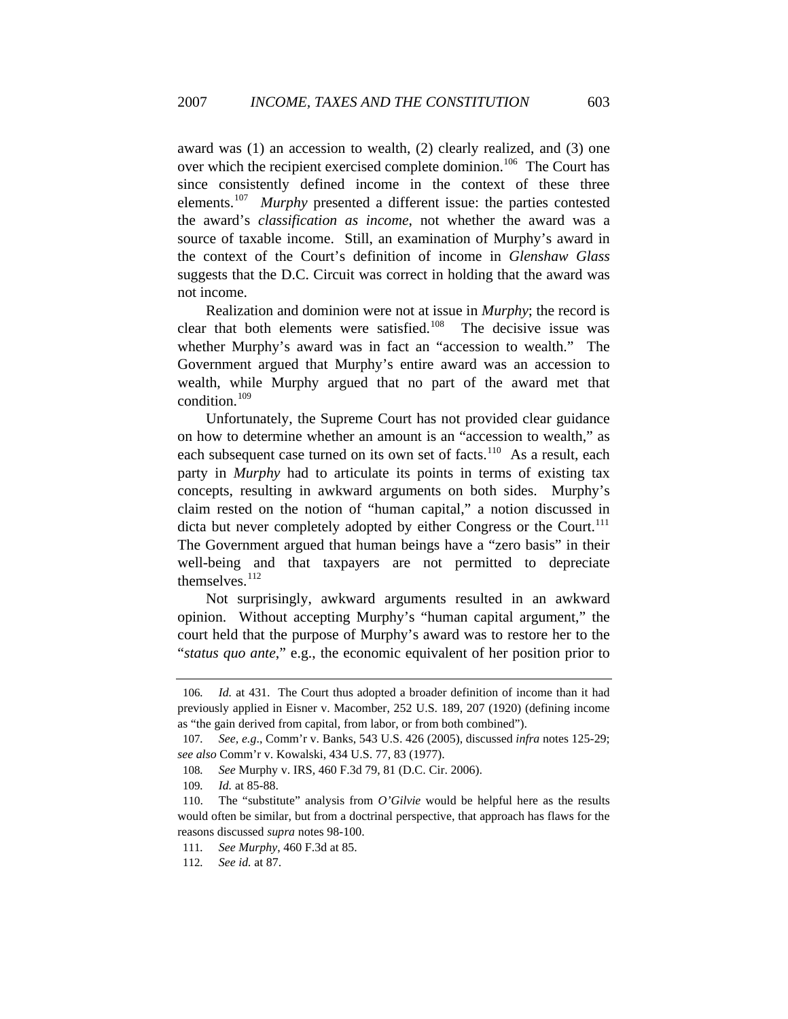award was (1) an accession to wealth, (2) clearly realized, and (3) one over which the recipient exercised complete dominion.<sup>[106](#page-17-0)</sup> The Court has since consistently defined income in the context of these three elements.[107](#page-17-1) *Murphy* presented a different issue: the parties contested the award's *classification as income*, not whether the award was a source of taxable income. Still, an examination of Murphy's award in the context of the Court's definition of income in *Glenshaw Glass* suggests that the D.C. Circuit was correct in holding that the award was not income.

Realization and dominion were not at issue in *Murphy*; the record is clear that both elements were satisfied.<sup>[108](#page-17-2)</sup> The decisive issue was whether Murphy's award was in fact an "accession to wealth." The Government argued that Murphy's entire award was an accession to wealth, while Murphy argued that no part of the award met that condition.[109](#page-17-3)

Unfortunately, the Supreme Court has not provided clear guidance on how to determine whether an amount is an "accession to wealth," as each subsequent case turned on its own set of facts.<sup>[110](#page-17-4)</sup> As a result, each party in *Murphy* had to articulate its points in terms of existing tax concepts, resulting in awkward arguments on both sides. Murphy's claim rested on the notion of "human capital," a notion discussed in dicta but never completely adopted by either Congress or the Court.<sup>[111](#page-17-5)</sup> The Government argued that human beings have a "zero basis" in their well-being and that taxpayers are not permitted to depreciate themselves.<sup>[112](#page-17-6)</sup>

Not surprisingly, awkward arguments resulted in an awkward opinion. Without accepting Murphy's "human capital argument," the court held that the purpose of Murphy's award was to restore her to the "*status quo ante*," e.g., the economic equivalent of her position prior to

<span id="page-17-0"></span><sup>106</sup>*. Id.* at 431. The Court thus adopted a broader definition of income than it had previously applied in Eisner v. Macomber, 252 U.S. 189, 207 (1920) (defining income as "the gain derived from capital, from labor, or from both combined").

<span id="page-17-2"></span><span id="page-17-1"></span><sup>107</sup>*. See, e.g*., Comm'r v. Banks, 543 U.S. 426 (2005), discussed *infra* notes 125-29; *see also* Comm'r v. Kowalski, 434 U.S. 77, 83 (1977).

<sup>108</sup>*. See* Murphy v. IRS*,* 460 F.3d 79, 81 (D.C. Cir. 2006).

<sup>109</sup>*. Id.* at 85-88.

<span id="page-17-4"></span><span id="page-17-3"></span><sup>110.</sup> The "substitute" analysis from *O'Gilvie* would be helpful here as the results would often be similar, but from a doctrinal perspective, that approach has flaws for the reasons discussed *supra* notes 98-100.

<span id="page-17-5"></span><sup>111</sup>*. See Murphy*, 460 F.3d at 85.

<span id="page-17-6"></span><sup>112</sup>*. See id.* at 87.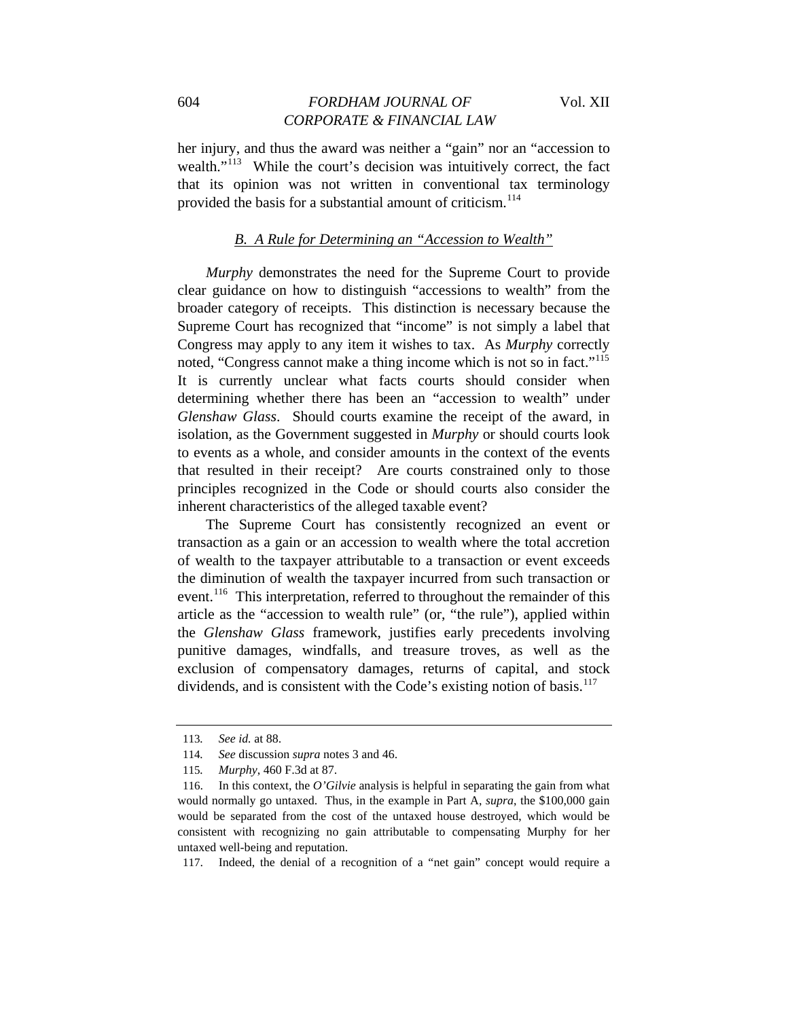## 604 *FORDHAM JOURNAL OF* Vol. XII *CORPORATE & FINANCIAL LAW*

her injury, and thus the award was neither a "gain" nor an "accession to wealth."<sup>[113](#page-18-0)</sup> While the court's decision was intuitively correct, the fact that its opinion was not written in conventional tax terminology provided the basis for a substantial amount of criticism.<sup>[114](#page-18-1)</sup>

#### *B. A Rule for Determining an "Accession to Wealth"*

*Murphy* demonstrates the need for the Supreme Court to provide clear guidance on how to distinguish "accessions to wealth" from the broader category of receipts. This distinction is necessary because the Supreme Court has recognized that "income" is not simply a label that Congress may apply to any item it wishes to tax. As *Murphy* correctly noted, "Congress cannot make a thing income which is not so in fact."<sup>[115](#page-18-2)</sup> It is currently unclear what facts courts should consider when determining whether there has been an "accession to wealth" under *Glenshaw Glass*. Should courts examine the receipt of the award, in isolation, as the Government suggested in *Murphy* or should courts look to events as a whole, and consider amounts in the context of the events that resulted in their receipt? Are courts constrained only to those principles recognized in the Code or should courts also consider the inherent characteristics of the alleged taxable event?

The Supreme Court has consistently recognized an event or transaction as a gain or an accession to wealth where the total accretion of wealth to the taxpayer attributable to a transaction or event exceeds the diminution of wealth the taxpayer incurred from such transaction or event.<sup>[116](#page-18-3)</sup> This interpretation, referred to throughout the remainder of this article as the "accession to wealth rule" (or, "the rule"), applied within the *Glenshaw Glass* framework, justifies early precedents involving punitive damages, windfalls, and treasure troves, as well as the exclusion of compensatory damages, returns of capital, and stock dividends, and is consistent with the Code's existing notion of basis.<sup>[117](#page-18-4)</sup>

<span id="page-18-4"></span>117. Indeed, the denial of a recognition of a "net gain" concept would require a

<sup>113</sup>*. See id.* at 88.

<span id="page-18-0"></span><sup>114</sup>*. See* discussion *supra* notes 3 and 46.

<sup>115</sup>*. Murphy*, 460 F.3d at 87.

<span id="page-18-3"></span><span id="page-18-2"></span><span id="page-18-1"></span><sup>116.</sup> In this context, the *O'Gilvie* analysis is helpful in separating the gain from what would normally go untaxed. Thus, in the example in Part A, *supra*, the \$100,000 gain would be separated from the cost of the untaxed house destroyed, which would be consistent with recognizing no gain attributable to compensating Murphy for her untaxed well-being and reputation.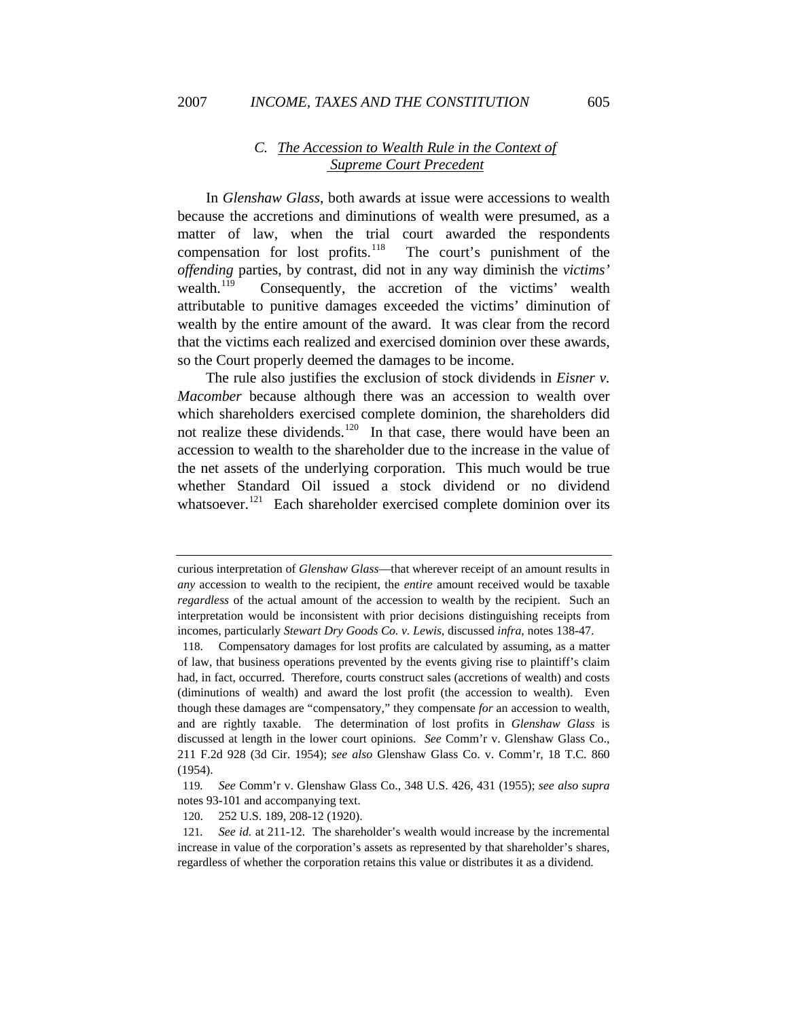## *C. The Accession to Wealth Rule in the Context of Supreme Court Precedent*

In *Glenshaw Glass*, both awards at issue were accessions to wealth because the accretions and diminutions of wealth were presumed, as a matter of law, when the trial court awarded the respondents compensation for lost profits.<sup>[118](#page-19-0)</sup> The court's punishment of the *offending* parties, by contrast, did not in any way diminish the *victims'* wealth.<sup>[119](#page-19-1)</sup> Consequently, the accretion of the victims' wealth attributable to punitive damages exceeded the victims' diminution of wealth by the entire amount of the award. It was clear from the record that the victims each realized and exercised dominion over these awards, so the Court properly deemed the damages to be income.

The rule also justifies the exclusion of stock dividends in *Eisner v. Macomber* because although there was an accession to wealth over which shareholders exercised complete dominion, the shareholders did not realize these dividends.<sup>[120](#page-19-2)</sup> In that case, there would have been an accession to wealth to the shareholder due to the increase in the value of the net assets of the underlying corporation. This much would be true whether Standard Oil issued a stock dividend or no dividend whatsoever.<sup>[121](#page-19-3)</sup> Each shareholder exercised complete dominion over its

curious interpretation of *Glenshaw Glass*—that wherever receipt of an amount results in *any* accession to wealth to the recipient, the *entire* amount received would be taxable *regardless* of the actual amount of the accession to wealth by the recipient. Such an interpretation would be inconsistent with prior decisions distinguishing receipts from incomes, particularly *Stewart Dry Goods Co. v. Lewis*, discussed *infra*, notes 138-47.

<span id="page-19-0"></span><sup>118.</sup> Compensatory damages for lost profits are calculated by assuming, as a matter of law, that business operations prevented by the events giving rise to plaintiff's claim had, in fact, occurred. Therefore, courts construct sales (accretions of wealth) and costs (diminutions of wealth) and award the lost profit (the accession to wealth). Even though these damages are "compensatory," they compensate *for* an accession to wealth, and are rightly taxable. The determination of lost profits in *Glenshaw Glass* is discussed at length in the lower court opinions. *See* Comm'r v. Glenshaw Glass Co., 211 F.2d 928 (3d Cir. 1954); *see also* Glenshaw Glass Co. v. Comm'r, 18 T.C. 860 (1954).

<span id="page-19-1"></span><sup>119</sup>*. See* Comm'r v. Glenshaw Glass Co., 348 U.S. 426, 431 (1955); *see also supra* notes 93-101 and accompanying text.

<sup>120. 252</sup> U.S. 189, 208-12 (1920).

<span id="page-19-3"></span><span id="page-19-2"></span><sup>121</sup>*. See id.* at 211-12. The shareholder's wealth would increase by the incremental increase in value of the corporation's assets as represented by that shareholder's shares, regardless of whether the corporation retains this value or distributes it as a dividend.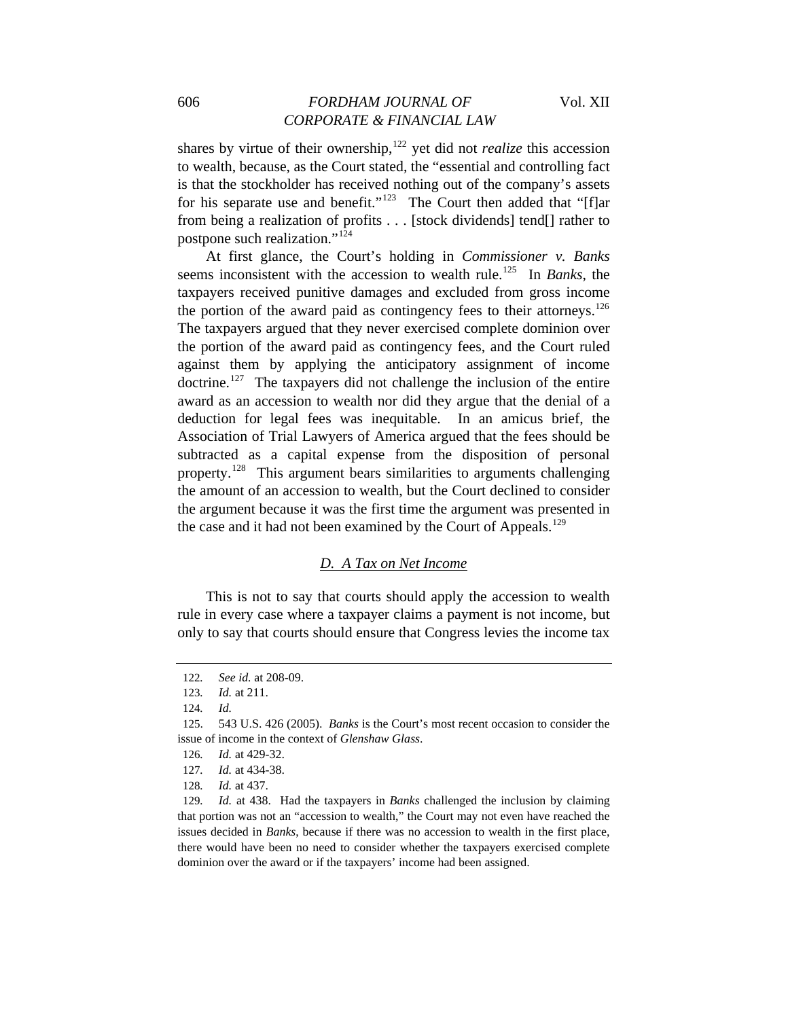## 606 *FORDHAM JOURNAL OF* Vol. XII *CORPORATE & FINANCIAL LAW*

shares by virtue of their ownership,<sup>[122](#page-20-0)</sup> yet did not *realize* this accession to wealth, because, as the Court stated, the "essential and controlling fact is that the stockholder has received nothing out of the company's assets for his separate use and benefit."<sup>[123](#page-20-1)</sup> The Court then added that "[f]ar from being a realization of profits . . . [stock dividends] tend[] rather to postpone such realization."[124](#page-20-2)

At first glance, the Court's holding in *Commissioner v. Banks* seems inconsistent with the accession to wealth rule.[125](#page-20-3) In *Banks*, the taxpayers received punitive damages and excluded from gross income the portion of the award paid as contingency fees to their attorneys.<sup>[126](#page-20-4)</sup> The taxpayers argued that they never exercised complete dominion over the portion of the award paid as contingency fees, and the Court ruled against them by applying the anticipatory assignment of income doctrine.<sup>[127](#page-20-5)</sup> The taxpayers did not challenge the inclusion of the entire award as an accession to wealth nor did they argue that the denial of a deduction for legal fees was inequitable. In an amicus brief, the Association of Trial Lawyers of America argued that the fees should be subtracted as a capital expense from the disposition of personal property.[128](#page-20-6) This argument bears similarities to arguments challenging the amount of an accession to wealth, but the Court declined to consider the argument because it was the first time the argument was presented in the case and it had not been examined by the Court of Appeals.<sup>[129](#page-20-7)</sup>

#### *D. A Tax on Net Income*

This is not to say that courts should apply the accession to wealth rule in every case where a taxpayer claims a payment is not income, but only to say that courts should ensure that Congress levies the income tax

<span id="page-20-0"></span><sup>122</sup>*. See id.* at 208-09.

<sup>123</sup>*. Id.* at 211.

<sup>124</sup>*. Id.*

<span id="page-20-4"></span><span id="page-20-3"></span><span id="page-20-2"></span><span id="page-20-1"></span><sup>125. 543</sup> U.S. 426 (2005). *Banks* is the Court's most recent occasion to consider the issue of income in the context of *Glenshaw Glass*.

<sup>126</sup>*. Id.* at 429-32.

<sup>127</sup>*. Id.* at 434-38.

<sup>128</sup>*. Id.* at 437.

<span id="page-20-7"></span><span id="page-20-6"></span><span id="page-20-5"></span><sup>129</sup>*. Id.* at 438. Had the taxpayers in *Banks* challenged the inclusion by claiming that portion was not an "accession to wealth," the Court may not even have reached the issues decided in *Banks*, because if there was no accession to wealth in the first place, there would have been no need to consider whether the taxpayers exercised complete dominion over the award or if the taxpayers' income had been assigned.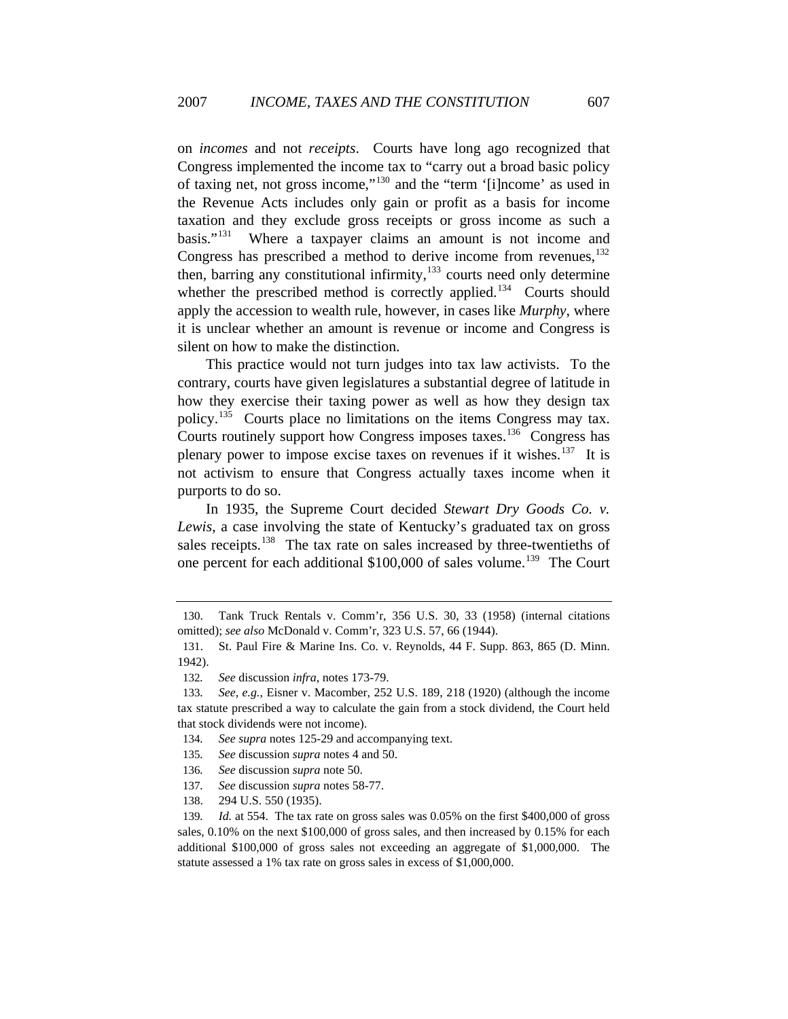on *incomes* and not *receipts*. Courts have long ago recognized that Congress implemented the income tax to "carry out a broad basic policy of taxing net, not gross income,"[130](#page-21-0) and the "term '[i]ncome' as used in the Revenue Acts includes only gain or profit as a basis for income taxation and they exclude gross receipts or gross income as such a basis."<sup>[131](#page-21-1)</sup> Where a taxpayer claims an amount is not income and Congress has prescribed a method to derive income from revenues, $^{132}$  $^{132}$  $^{132}$ then, barring any constitutional infirmity, $133$  courts need only determine whether the prescribed method is correctly applied.<sup>[134](#page-21-4)</sup> Courts should apply the accession to wealth rule, however, in cases like *Murphy*, where it is unclear whether an amount is revenue or income and Congress is silent on how to make the distinction.

This practice would not turn judges into tax law activists. To the contrary, courts have given legislatures a substantial degree of latitude in how they exercise their taxing power as well as how they design tax policy.[135](#page-21-5) Courts place no limitations on the items Congress may tax. Courts routinely support how Congress imposes taxes.<sup>[136](#page-21-6)</sup> Congress has plenary power to impose excise taxes on revenues if it wishes.<sup>[137](#page-21-7)</sup> It is not activism to ensure that Congress actually taxes income when it purports to do so.

In 1935, the Supreme Court decided *Stewart Dry Goods Co. v. Lewis*, a case involving the state of Kentucky's graduated tax on gross sales receipts.<sup>[138](#page-21-8)</sup> The tax rate on sales increased by three-twentieths of one percent for each additional \$100,000 of sales volume.<sup>[139](#page-21-9)</sup> The Court

- <span id="page-21-5"></span><span id="page-21-4"></span>134*. See supra* notes 125-29 and accompanying text.
- <span id="page-21-6"></span>135*. See* discussion *supra* notes 4 and 50.
- 136*. See* discussion *supra* note 50.
- 137*. See* discussion *supra* notes 58-77.
- 138. 294 U.S. 550 (1935).

<span id="page-21-9"></span><span id="page-21-8"></span><span id="page-21-7"></span>139*. Id.* at 554. The tax rate on gross sales was 0.05% on the first \$400,000 of gross sales, 0.10% on the next \$100,000 of gross sales, and then increased by 0.15% for each additional \$100,000 of gross sales not exceeding an aggregate of \$1,000,000. The statute assessed a 1% tax rate on gross sales in excess of \$1,000,000.

<span id="page-21-0"></span><sup>130.</sup> Tank Truck Rentals v. Comm'r, 356 U.S. 30, 33 (1958) (internal citations omitted); *see also* McDonald v. Comm'r, 323 U.S. 57, 66 (1944).

<span id="page-21-1"></span><sup>131.</sup> St. Paul Fire & Marine Ins. Co. v. Reynolds, 44 F. Supp. 863, 865 (D. Minn. 1942).

<sup>132</sup>*. See* discussion *infra*, notes 173-79.

<span id="page-21-3"></span><span id="page-21-2"></span><sup>133</sup>*. See, e.g.*, Eisner v. Macomber, 252 U.S. 189, 218 (1920) (although the income tax statute prescribed a way to calculate the gain from a stock dividend, the Court held that stock dividends were not income).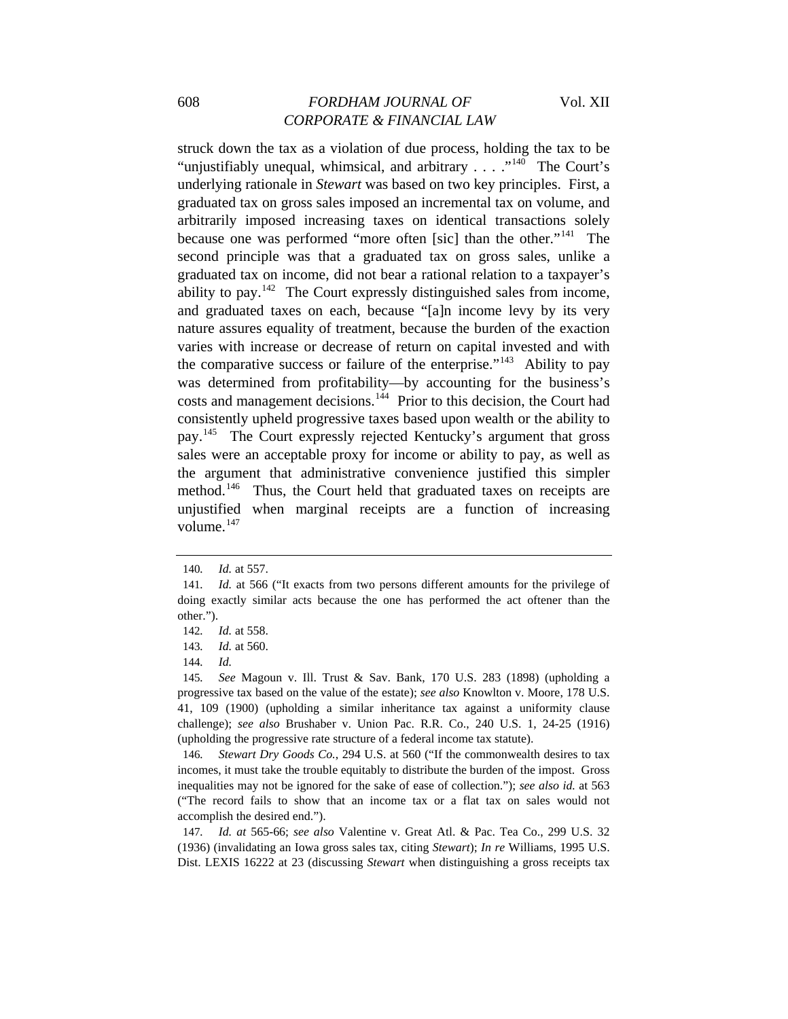## 608 *FORDHAM JOURNAL OF* Vol. XII *CORPORATE & FINANCIAL LAW*

struck down the tax as a violation of due process, holding the tax to be "unjustifiably unequal, whimsical, and arbitrary  $\ldots$  ."<sup>[140](#page-22-0)</sup> The Court's underlying rationale in *Stewart* was based on two key principles. First, a graduated tax on gross sales imposed an incremental tax on volume, and arbitrarily imposed increasing taxes on identical transactions solely because one was performed "more often [sic] than the other."<sup>[141](#page-22-1)</sup> The second principle was that a graduated tax on gross sales, unlike a graduated tax on income, did not bear a rational relation to a taxpayer's ability to pay.<sup>[142](#page-22-2)</sup> The Court expressly distinguished sales from income, and graduated taxes on each, because "[a]n income levy by its very nature assures equality of treatment, because the burden of the exaction varies with increase or decrease of return on capital invested and with the comparative success or failure of the enterprise."<sup>[143](#page-22-3)</sup> Ability to pay was determined from profitability—by accounting for the business's costs and management decisions.[144](#page-22-4) Prior to this decision, the Court had consistently upheld progressive taxes based upon wealth or the ability to pay.<sup>[145](#page-22-5)</sup> The Court expressly rejected Kentucky's argument that gross sales were an acceptable proxy for income or ability to pay, as well as the argument that administrative convenience justified this simpler method.<sup>[146](#page-22-6)</sup> Thus, the Court held that graduated taxes on receipts are unjustified when marginal receipts are a function of increasing volume.<sup>[147](#page-22-7)</sup>

<span id="page-22-6"></span>146*. Stewart Dry Goods Co.*, 294 U.S. at 560 ("If the commonwealth desires to tax incomes, it must take the trouble equitably to distribute the burden of the impost. Gross inequalities may not be ignored for the sake of ease of collection."); *see also id.* at 563 ("The record fails to show that an income tax or a flat tax on sales would not accomplish the desired end.").

<span id="page-22-7"></span>147*. Id. at* 565-66; *see also* Valentine v. Great Atl. & Pac. Tea Co., 299 U.S. 32 (1936) (invalidating an Iowa gross sales tax, citing *Stewart*); *In re* Williams, 1995 U.S. Dist. LEXIS 16222 at 23 (discussing *Stewart* when distinguishing a gross receipts tax

<sup>140</sup>*. Id.* at 557.

<span id="page-22-1"></span><span id="page-22-0"></span><sup>141</sup>*. Id.* at 566 ("It exacts from two persons different amounts for the privilege of doing exactly similar acts because the one has performed the act oftener than the other.").

<span id="page-22-2"></span><sup>142</sup>*. Id.* at 558.

<sup>143</sup>*. Id.* at 560.

<sup>144</sup>*. Id.*

<span id="page-22-5"></span><span id="page-22-4"></span><span id="page-22-3"></span><sup>145</sup>*. See* Magoun v. Ill. Trust & Sav. Bank, 170 U.S. 283 (1898) (upholding a progressive tax based on the value of the estate); *see also* Knowlton v. Moore, 178 U.S. 41, 109 (1900) (upholding a similar inheritance tax against a uniformity clause challenge); *see also* Brushaber v. Union Pac. R.R. Co., 240 U.S. 1, 24-25 (1916) (upholding the progressive rate structure of a federal income tax statute).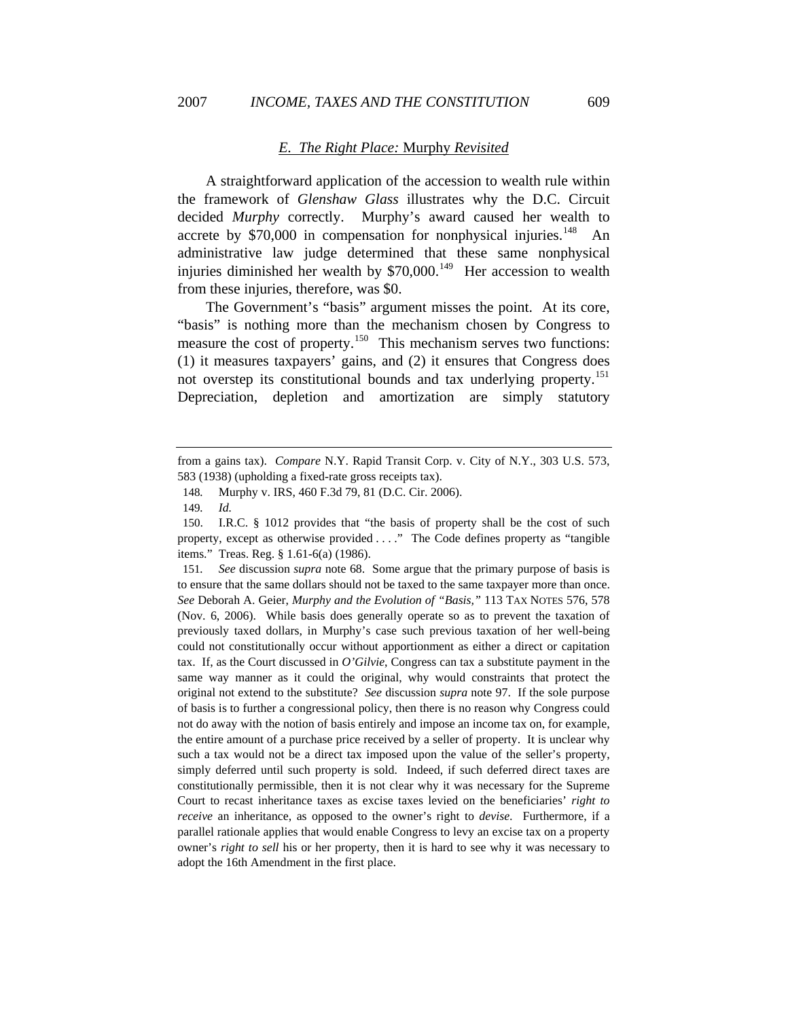#### *E. The Right Place:* Murphy *Revisited*

A straightforward application of the accession to wealth rule within the framework of *Glenshaw Glass* illustrates why the D.C. Circuit decided *Murphy* correctly. Murphy's award caused her wealth to accrete by  $$70,000$  in compensation for nonphysical injuries.<sup>[148](#page-23-0)</sup> An administrative law judge determined that these same nonphysical injuries diminished her wealth by  $$70,000$ .<sup>[149](#page-23-1)</sup> Her accession to wealth from these injuries, therefore, was \$0.

The Government's "basis" argument misses the point. At its core, "basis" is nothing more than the mechanism chosen by Congress to measure the cost of property.<sup>[150](#page-23-2)</sup> This mechanism serves two functions: (1) it measures taxpayers' gains, and (2) it ensures that Congress does not overstep its constitutional bounds and tax underlying property.<sup>[151](#page-23-3)</sup> Depreciation, depletion and amortization are simply statutory

<span id="page-23-3"></span>151*. See* discussion *supra* note 68. Some argue that the primary purpose of basis is to ensure that the same dollars should not be taxed to the same taxpayer more than once. *See* Deborah A. Geier, *Murphy and the Evolution of "Basis,"* 113 TAX NOTES 576, 578 (Nov. 6, 2006). While basis does generally operate so as to prevent the taxation of previously taxed dollars, in Murphy's case such previous taxation of her well-being could not constitutionally occur without apportionment as either a direct or capitation tax. If, as the Court discussed in *O'Gilvie*, Congress can tax a substitute payment in the same way manner as it could the original, why would constraints that protect the original not extend to the substitute? *See* discussion *supra* note 97. If the sole purpose of basis is to further a congressional policy, then there is no reason why Congress could not do away with the notion of basis entirely and impose an income tax on, for example, the entire amount of a purchase price received by a seller of property. It is unclear why such a tax would not be a direct tax imposed upon the value of the seller's property, simply deferred until such property is sold. Indeed, if such deferred direct taxes are constitutionally permissible, then it is not clear why it was necessary for the Supreme Court to recast inheritance taxes as excise taxes levied on the beneficiaries' *right to receive* an inheritance, as opposed to the owner's right to *devise*. Furthermore, if a parallel rationale applies that would enable Congress to levy an excise tax on a property owner's *right to sell* his or her property, then it is hard to see why it was necessary to adopt the 16th Amendment in the first place.

<span id="page-23-0"></span>from a gains tax). *Compare* N.Y. Rapid Transit Corp. v. City of N.Y., 303 U.S. 573, 583 (1938) (upholding a fixed-rate gross receipts tax).

<sup>148</sup>*.* Murphy v. IRS, 460 F.3d 79, 81 (D.C. Cir. 2006).

<sup>149</sup>*. Id.*

<span id="page-23-2"></span><span id="page-23-1"></span><sup>150.</sup> I.R.C. § 1012 provides that "the basis of property shall be the cost of such property, except as otherwise provided . . . ." The Code defines property as "tangible items." Treas. Reg. § 1.61-6(a) (1986).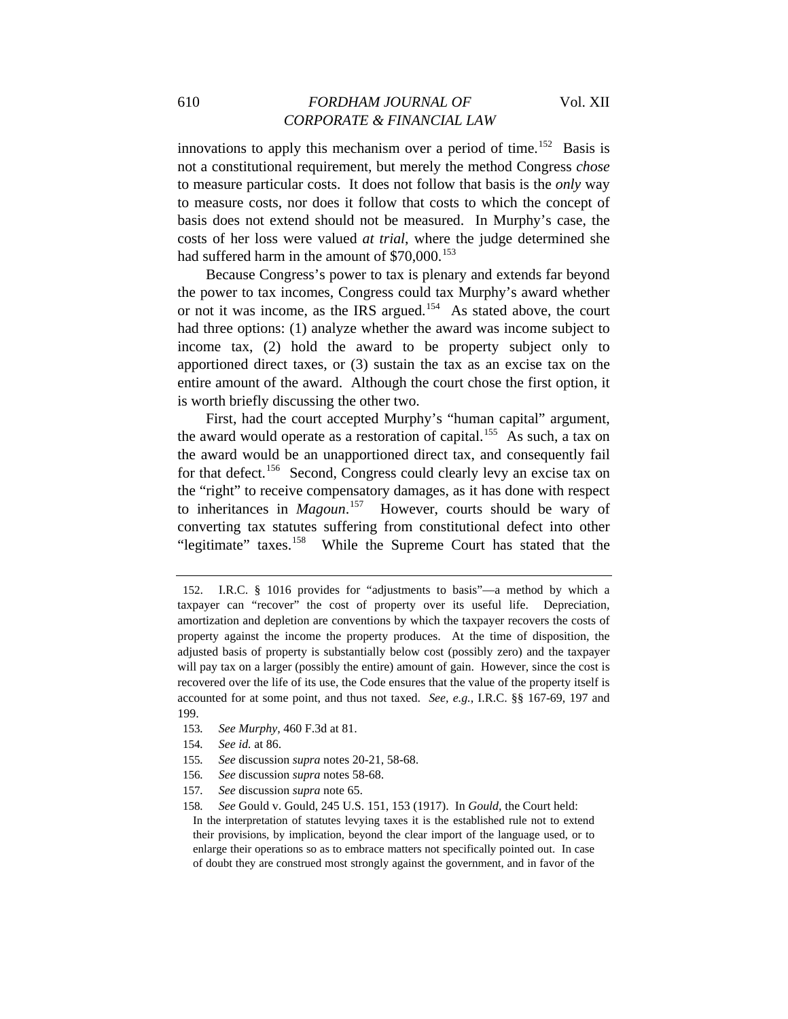innovations to apply this mechanism over a period of time.<sup>[152](#page-24-0)</sup> Basis is not a constitutional requirement, but merely the method Congress *chose* to measure particular costs. It does not follow that basis is the *only* way to measure costs, nor does it follow that costs to which the concept of basis does not extend should not be measured. In Murphy's case, the costs of her loss were valued *at trial*, where the judge determined she had suffered harm in the amount of  $$70,000$ .<sup>[153](#page-24-1)</sup>

Because Congress's power to tax is plenary and extends far beyond the power to tax incomes, Congress could tax Murphy's award whether or not it was income, as the IRS argued.[154](#page-24-2) As stated above, the court had three options: (1) analyze whether the award was income subject to income tax, (2) hold the award to be property subject only to apportioned direct taxes, or (3) sustain the tax as an excise tax on the entire amount of the award. Although the court chose the first option, it is worth briefly discussing the other two.

First, had the court accepted Murphy's "human capital" argument, the award would operate as a restoration of capital.<sup>[155](#page-24-3)</sup> As such, a tax on the award would be an unapportioned direct tax, and consequently fail for that defect.<sup>[156](#page-24-4)</sup> Second, Congress could clearly levy an excise tax on the "right" to receive compensatory damages, as it has done with respect to inheritances in *Magoun*. [157](#page-24-5) However, courts should be wary of converting tax statutes suffering from constitutional defect into other "legitimate" taxes.<sup>[158](#page-24-6)</sup> While the Supreme Court has stated that the

- <span id="page-24-2"></span><span id="page-24-1"></span>153*. See Murphy,* 460 F.3d at 81.
- 154*. See id.* at 86.
- <span id="page-24-3"></span>155*. See* discussion *supra* notes 20-21, 58-68.
- <span id="page-24-5"></span><span id="page-24-4"></span>156*. See* discussion *supra* notes 58-68.
- <span id="page-24-6"></span>157*. See* discussion *supra* note 65.

158*. See* Gould v. Gould, 245 U.S. 151, 153 (1917). In *Gould,* the Court held:

In the interpretation of statutes levying taxes it is the established rule not to extend their provisions, by implication, beyond the clear import of the language used, or to enlarge their operations so as to embrace matters not specifically pointed out. In case of doubt they are construed most strongly against the government, and in favor of the

<span id="page-24-0"></span><sup>152.</sup> I.R.C. § 1016 provides for "adjustments to basis"—a method by which a taxpayer can "recover" the cost of property over its useful life. Depreciation, amortization and depletion are conventions by which the taxpayer recovers the costs of property against the income the property produces. At the time of disposition, the adjusted basis of property is substantially below cost (possibly zero) and the taxpayer will pay tax on a larger (possibly the entire) amount of gain. However, since the cost is recovered over the life of its use, the Code ensures that the value of the property itself is accounted for at some point, and thus not taxed. *See, e.g.*, I.R.C. §§ 167-69, 197 and 199.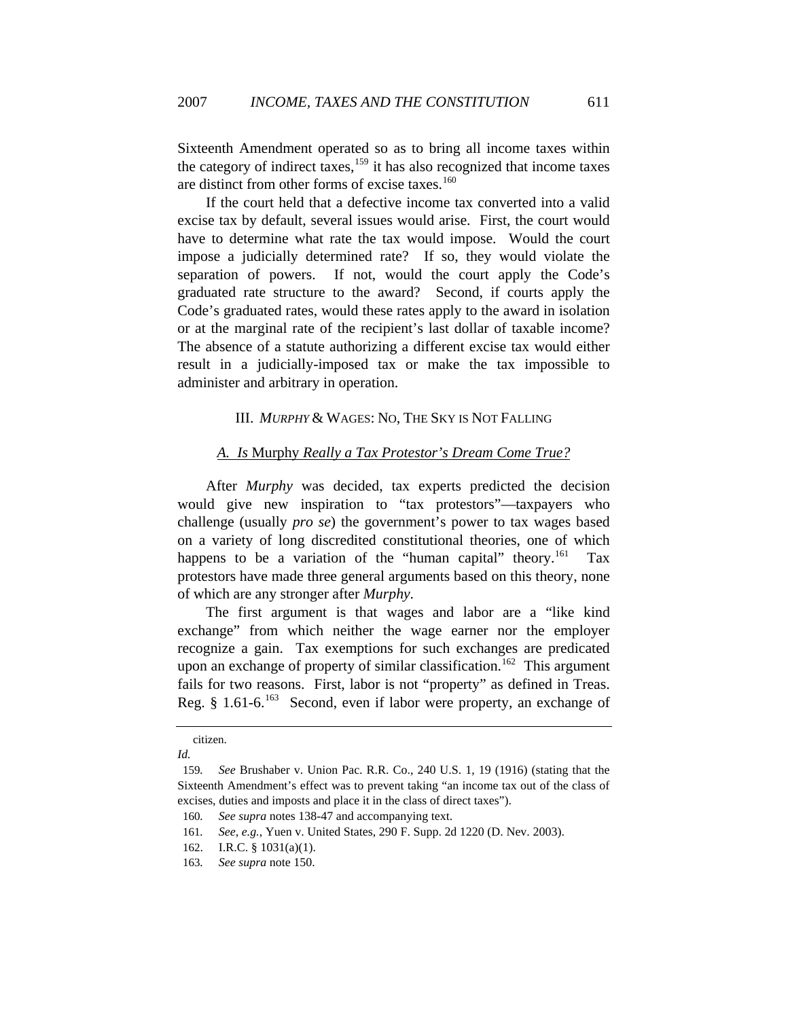Sixteenth Amendment operated so as to bring all income taxes within the category of indirect taxes, $159$  it has also recognized that income taxes are distinct from other forms of excise taxes.<sup>[160](#page-25-1)</sup>

If the court held that a defective income tax converted into a valid excise tax by default, several issues would arise. First, the court would have to determine what rate the tax would impose. Would the court impose a judicially determined rate? If so, they would violate the separation of powers. If not, would the court apply the Code's graduated rate structure to the award? Second, if courts apply the Code's graduated rates, would these rates apply to the award in isolation or at the marginal rate of the recipient's last dollar of taxable income? The absence of a statute authorizing a different excise tax would either result in a judicially-imposed tax or make the tax impossible to administer and arbitrary in operation.

### III. *MURPHY* & WAGES: NO, THE SKY IS NOT FALLING

## *A. Is* Murphy *Really a Tax Protestor's Dream Come True?*

After *Murphy* was decided, tax experts predicted the decision would give new inspiration to "tax protestors"—taxpayers who challenge (usually *pro se*) the government's power to tax wages based on a variety of long discredited constitutional theories, one of which happens to be a variation of the "human capital" theory.<sup>[161](#page-25-2)</sup> Tax protestors have made three general arguments based on this theory, none of which are any stronger after *Murphy*.

The first argument is that wages and labor are a "like kind exchange" from which neither the wage earner nor the employer recognize a gain. Tax exemptions for such exchanges are predicated upon an exchange of property of similar classification.<sup>[162](#page-25-3)</sup> This argument fails for two reasons. First, labor is not "property" as defined in Treas. Reg.  $§$  1.61-6.<sup>[163](#page-25-4)</sup> Second, even if labor were property, an exchange of

citizen.

*Id.* 

<span id="page-25-0"></span><sup>159</sup>*. See* Brushaber v. Union Pac. R.R. Co., 240 U.S. 1, 19 (1916) (stating that the Sixteenth Amendment's effect was to prevent taking "an income tax out of the class of excises, duties and imposts and place it in the class of direct taxes").

<span id="page-25-2"></span><span id="page-25-1"></span><sup>160</sup>*. See supra* notes 138-47 and accompanying text.

<sup>161</sup>*. See, e.g.*, Yuen v. United States, 290 F. Supp. 2d 1220 (D. Nev. 2003).

<span id="page-25-4"></span><span id="page-25-3"></span><sup>162.</sup> I.R.C. § 1031(a)(1).

<sup>163</sup>*. See supra* note 150.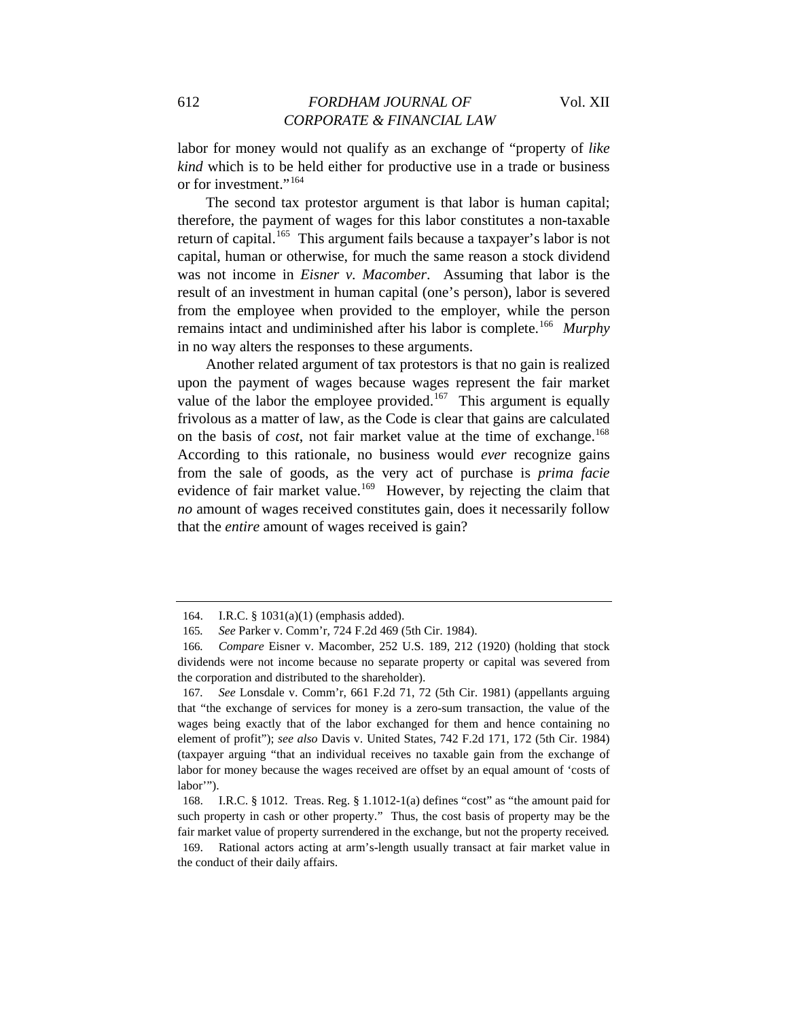labor for money would not qualify as an exchange of "property of *like kind* which is to be held either for productive use in a trade or business or for investment."<sup>[164](#page-26-0)</sup>

The second tax protestor argument is that labor is human capital; therefore, the payment of wages for this labor constitutes a non-taxable return of capital.<sup>[165](#page-26-1)</sup> This argument fails because a taxpayer's labor is not capital, human or otherwise, for much the same reason a stock dividend was not income in *Eisner v. Macomber*. Assuming that labor is the result of an investment in human capital (one's person), labor is severed from the employee when provided to the employer, while the person remains intact and undiminished after his labor is complete.[166](#page-26-2) *Murphy* in no way alters the responses to these arguments.

Another related argument of tax protestors is that no gain is realized upon the payment of wages because wages represent the fair market value of the labor the employee provided.<sup>[167](#page-26-3)</sup> This argument is equally frivolous as a matter of law, as the Code is clear that gains are calculated on the basis of *cost*, not fair market value at the time of exchange.<sup>[168](#page-26-4)</sup> According to this rationale, no business would *ever* recognize gains from the sale of goods, as the very act of purchase is *prima facie* evidence of fair market value.<sup>[169](#page-26-5)</sup> However, by rejecting the claim that *no* amount of wages received constitutes gain, does it necessarily follow that the *entire* amount of wages received is gain?

<sup>164.</sup> I.R.C. § 1031(a)(1) (emphasis added).

<sup>165</sup>*. See* Parker v. Comm'r, 724 F.2d 469 (5th Cir. 1984).

<span id="page-26-2"></span><span id="page-26-1"></span><span id="page-26-0"></span><sup>166</sup>*. Compare* Eisner v. Macomber, 252 U.S. 189, 212 (1920) (holding that stock dividends were not income because no separate property or capital was severed from the corporation and distributed to the shareholder).

<span id="page-26-3"></span><sup>167</sup>*. See* Lonsdale v. Comm'r, 661 F.2d 71, 72 (5th Cir. 1981) (appellants arguing that "the exchange of services for money is a zero-sum transaction, the value of the wages being exactly that of the labor exchanged for them and hence containing no element of profit"); *see also* Davis v. United States, 742 F.2d 171, 172 (5th Cir. 1984) (taxpayer arguing "that an individual receives no taxable gain from the exchange of labor for money because the wages received are offset by an equal amount of 'costs of labor'").

<span id="page-26-4"></span><sup>168.</sup> I.R.C. § 1012. Treas. Reg. § 1.1012-1(a) defines "cost" as "the amount paid for such property in cash or other property." Thus, the cost basis of property may be the fair market value of property surrendered in the exchange, but not the property received*.*

<span id="page-26-5"></span><sup>169.</sup> Rational actors acting at arm's-length usually transact at fair market value in the conduct of their daily affairs.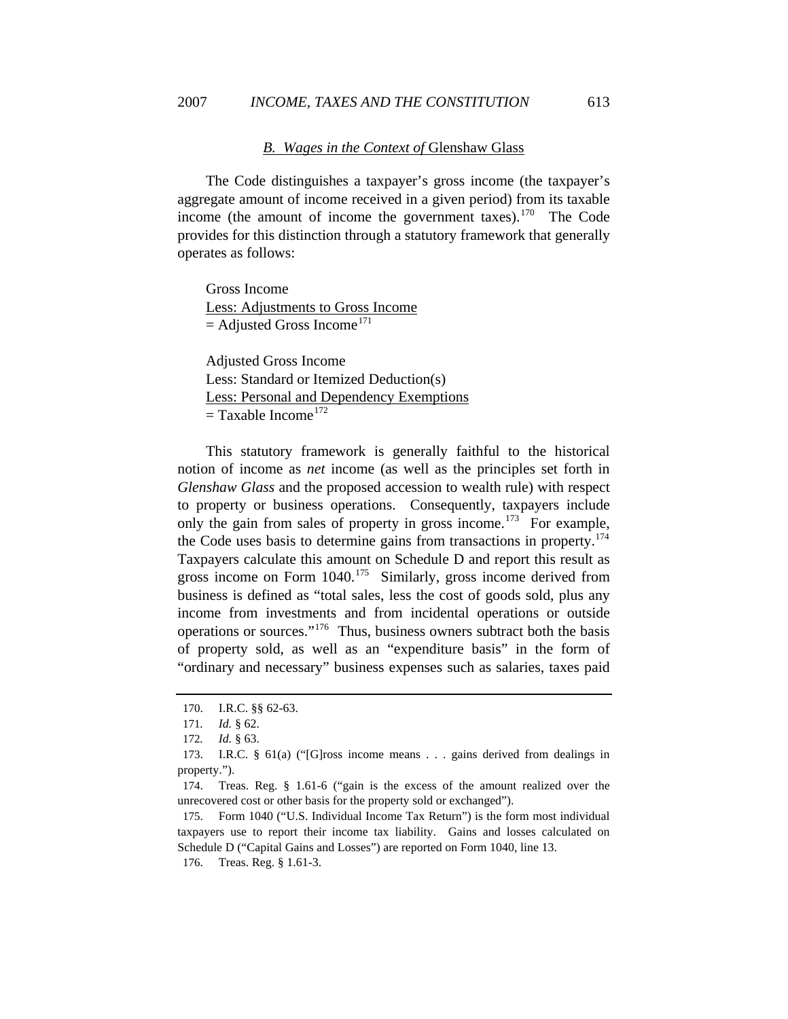### *B. Wages in the Context of* Glenshaw Glass

The Code distinguishes a taxpayer's gross income (the taxpayer's aggregate amount of income received in a given period) from its taxable income (the amount of income the government taxes).<sup>[170](#page-27-0)</sup> The Code provides for this distinction through a statutory framework that generally operates as follows:

Gross Income Less: Adjustments to Gross Income  $=$  Adjusted Gross Income<sup>[171](#page-27-1)</sup>

Adjusted Gross Income Less: Standard or Itemized Deduction(s) Less: Personal and Dependency Exemptions  $=$  Taxable Income<sup>[172](#page-27-2)</sup>

This statutory framework is generally faithful to the historical notion of income as *net* income (as well as the principles set forth in *Glenshaw Glass* and the proposed accession to wealth rule) with respect to property or business operations. Consequently, taxpayers include only the gain from sales of property in gross income.<sup>[173](#page-27-3)</sup> For example, the Code uses basis to determine gains from transactions in property.[174](#page-27-4) Taxpayers calculate this amount on Schedule D and report this result as gross income on Form  $1040$ <sup> $175$ </sup> Similarly, gross income derived from business is defined as "total sales, less the cost of goods sold, plus any income from investments and from incidental operations or outside operations or sources."[176](#page-27-6) Thus, business owners subtract both the basis of property sold, as well as an "expenditure basis" in the form of "ordinary and necessary" business expenses such as salaries, taxes paid

<span id="page-27-6"></span>176. Treas. Reg. § 1.61-3.

<span id="page-27-0"></span><sup>170.</sup> I.R.C. §§ 62-63.

<sup>171</sup>*. Id.* § 62.

<sup>172</sup>*. Id.* § 63.

<span id="page-27-3"></span><span id="page-27-2"></span><span id="page-27-1"></span><sup>173.</sup> I.R.C. § 61(a) ("[G]ross income means . . . gains derived from dealings in property.").

<span id="page-27-4"></span><sup>174.</sup> Treas. Reg. § 1.61-6 ("gain is the excess of the amount realized over the unrecovered cost or other basis for the property sold or exchanged").

<span id="page-27-5"></span><sup>175.</sup> Form 1040 ("U.S. Individual Income Tax Return") is the form most individual taxpayers use to report their income tax liability. Gains and losses calculated on Schedule D ("Capital Gains and Losses") are reported on Form 1040, line 13.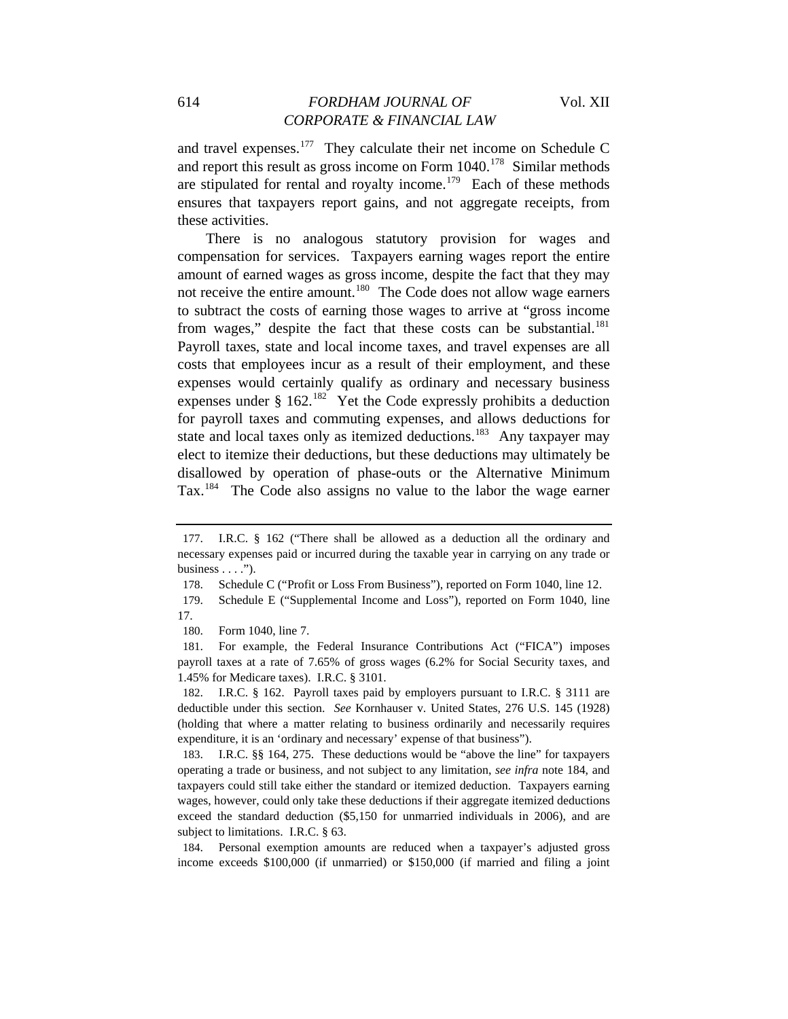## 614 *FORDHAM JOURNAL OF* Vol. XII *CORPORATE & FINANCIAL LAW*

and travel expenses.[177](#page-28-0) They calculate their net income on Schedule C and report this result as gross income on Form  $1040$ <sup> $178$ </sup> Similar methods are stipulated for rental and royalty income.<sup>[179](#page-28-2)</sup> Each of these methods ensures that taxpayers report gains, and not aggregate receipts, from these activities.

There is no analogous statutory provision for wages and compensation for services. Taxpayers earning wages report the entire amount of earned wages as gross income, despite the fact that they may not receive the entire amount.<sup>[180](#page-28-3)</sup> The Code does not allow wage earners to subtract the costs of earning those wages to arrive at "gross income from wages," despite the fact that these costs can be substantial.<sup>[181](#page-28-4)</sup> Payroll taxes, state and local income taxes, and travel expenses are all costs that employees incur as a result of their employment, and these expenses would certainly qualify as ordinary and necessary business expenses under  $\S$  162.<sup>[182](#page-28-5)</sup> Yet the Code expressly prohibits a deduction for payroll taxes and commuting expenses, and allows deductions for state and local taxes only as itemized deductions.<sup>[183](#page-28-6)</sup> Any taxpayer may elect to itemize their deductions, but these deductions may ultimately be disallowed by operation of phase-outs or the Alternative Minimum Tax.[184](#page-28-7) The Code also assigns no value to the labor the wage earner

<span id="page-28-0"></span><sup>177.</sup> I.R.C. § 162 ("There shall be allowed as a deduction all the ordinary and necessary expenses paid or incurred during the taxable year in carrying on any trade or business  $\dots$ .").

<sup>178.</sup> Schedule C ("Profit or Loss From Business"), reported on Form 1040, line 12.

<span id="page-28-2"></span><span id="page-28-1"></span><sup>179.</sup> Schedule E ("Supplemental Income and Loss"), reported on Form 1040, line 17.

<sup>180.</sup> Form 1040, line 7.

<span id="page-28-4"></span><span id="page-28-3"></span><sup>181.</sup> For example, the Federal Insurance Contributions Act ("FICA") imposes payroll taxes at a rate of 7.65% of gross wages (6.2% for Social Security taxes, and 1.45% for Medicare taxes). I.R.C. § 3101.

<span id="page-28-5"></span><sup>182.</sup> I.R.C. § 162. Payroll taxes paid by employers pursuant to I.R.C. § 3111 are deductible under this section. *See* Kornhauser v. United States, 276 U.S. 145 (1928) (holding that where a matter relating to business ordinarily and necessarily requires expenditure, it is an 'ordinary and necessary' expense of that business").

<span id="page-28-6"></span><sup>183.</sup> I.R.C. §§ 164, 275. These deductions would be "above the line" for taxpayers operating a trade or business, and not subject to any limitation, *see infra* note 184, and taxpayers could still take either the standard or itemized deduction. Taxpayers earning wages, however, could only take these deductions if their aggregate itemized deductions exceed the standard deduction (\$5,150 for unmarried individuals in 2006), and are subject to limitations. I.R.C. § 63.

<span id="page-28-7"></span><sup>184.</sup> Personal exemption amounts are reduced when a taxpayer's adjusted gross income exceeds \$100,000 (if unmarried) or \$150,000 (if married and filing a joint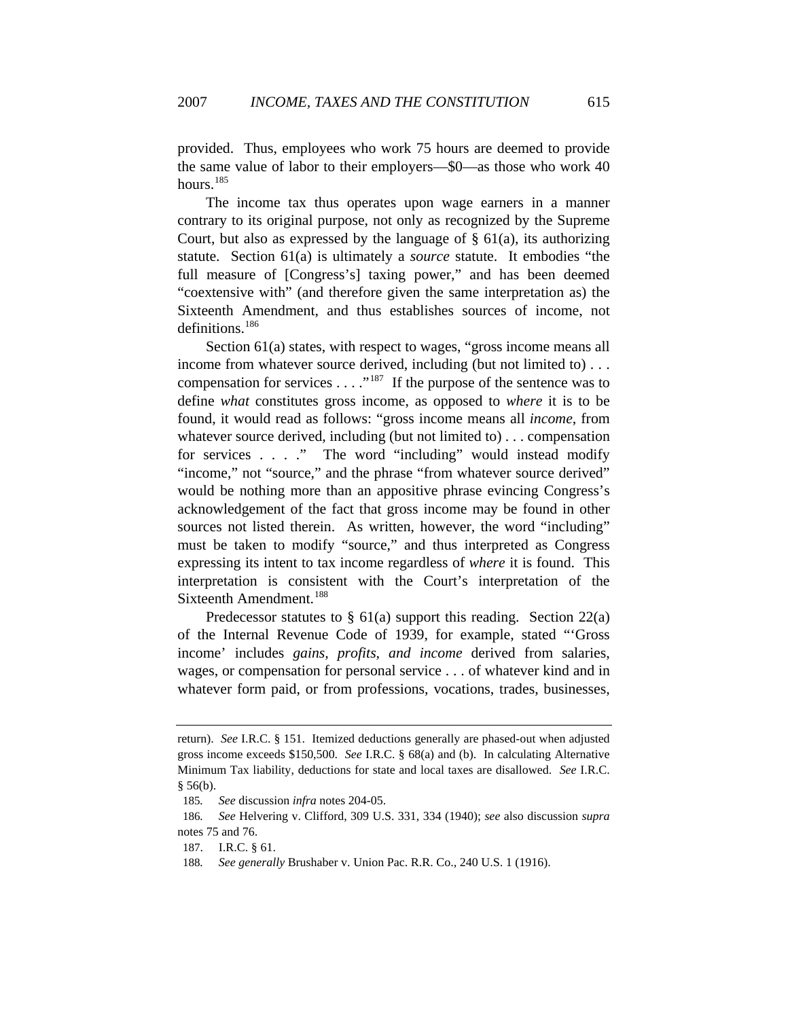provided. Thus, employees who work 75 hours are deemed to provide the same value of labor to their employers—\$0—as those who work 40 hours.<sup>[185](#page-29-0)</sup>

The income tax thus operates upon wage earners in a manner contrary to its original purpose, not only as recognized by the Supreme Court, but also as expressed by the language of  $\S$  61(a), its authorizing statute. Section 61(a) is ultimately a *source* statute. It embodies "the full measure of [Congress's] taxing power," and has been deemed "coextensive with" (and therefore given the same interpretation as) the Sixteenth Amendment, and thus establishes sources of income, not definitions.<sup>[186](#page-29-1)</sup>

Section 61(a) states, with respect to wages, "gross income means all income from whatever source derived, including (but not limited to) . . . compensation for services  $\dots$ ."<sup>[187](#page-29-2)</sup> If the purpose of the sentence was to define *what* constitutes gross income, as opposed to *where* it is to be found, it would read as follows: "gross income means all *income*, from whatever source derived, including (but not limited to) . . . compensation for services . . . ." The word "including" would instead modify "income," not "source," and the phrase "from whatever source derived" would be nothing more than an appositive phrase evincing Congress's acknowledgement of the fact that gross income may be found in other sources not listed therein. As written, however, the word "including" must be taken to modify "source," and thus interpreted as Congress expressing its intent to tax income regardless of *where* it is found. This interpretation is consistent with the Court's interpretation of the Sixteenth Amendment.<sup>[188](#page-29-3)</sup>

Predecessor statutes to  $\S$  61(a) support this reading. Section 22(a) of the Internal Revenue Code of 1939, for example, stated "'Gross income' includes *gains, profits, and income* derived from salaries, wages, or compensation for personal service . . . of whatever kind and in whatever form paid, or from professions, vocations, trades, businesses,

return). *See* I.R.C. § 151. Itemized deductions generally are phased-out when adjusted gross income exceeds \$150,500. *See* I.R.C. § 68(a) and (b). In calculating Alternative Minimum Tax liability, deductions for state and local taxes are disallowed. *See* I.R.C. § 56(b).

<sup>185</sup>*. See* discussion *infra* notes 204-05.

<span id="page-29-2"></span><span id="page-29-1"></span><span id="page-29-0"></span><sup>186</sup>*. See* Helvering v. Clifford, 309 U.S. 331, 334 (1940); *see* also discussion *supra* notes 75 and 76.

<span id="page-29-3"></span><sup>187.</sup> I.R.C. § 61.

<sup>188</sup>*. See generally* Brushaber v. Union Pac. R.R. Co., 240 U.S. 1 (1916).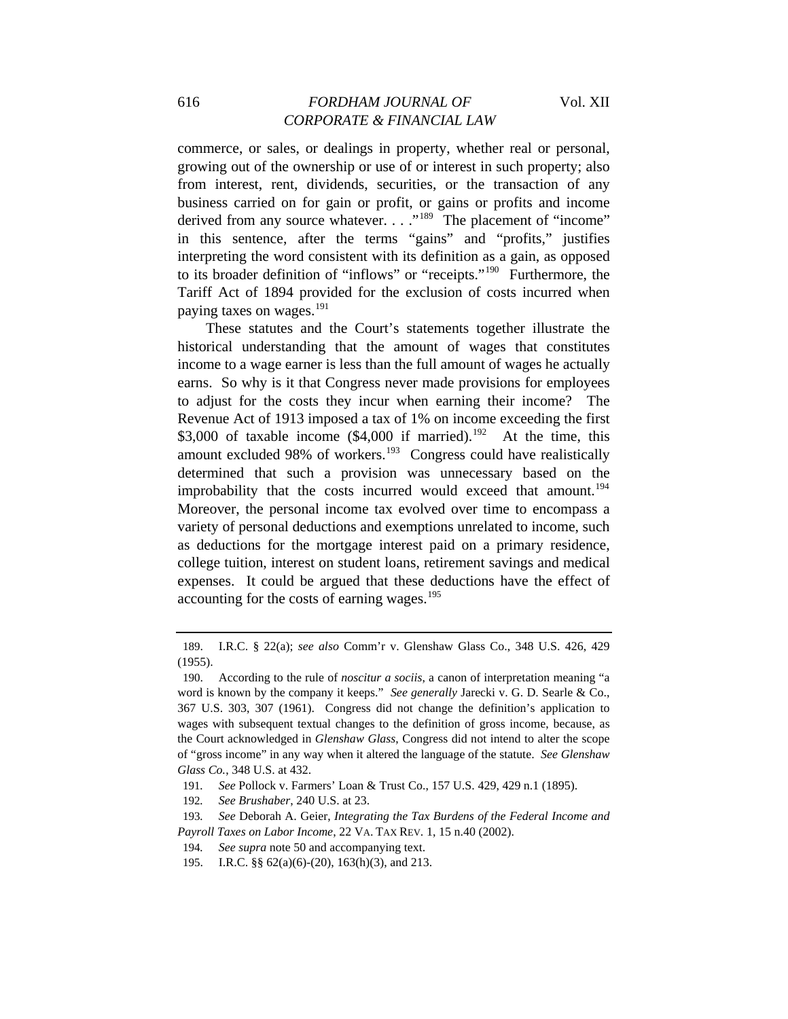## 616 *FORDHAM JOURNAL OF* Vol. XII *CORPORATE & FINANCIAL LAW*

commerce, or sales, or dealings in property, whether real or personal, growing out of the ownership or use of or interest in such property; also from interest, rent, dividends, securities, or the transaction of any business carried on for gain or profit, or gains or profits and income derived from any source whatever. . . ."<sup>[189](#page-30-0)</sup> The placement of "income" in this sentence, after the terms "gains" and "profits," justifies interpreting the word consistent with its definition as a gain, as opposed to its broader definition of "inflows" or "receipts."[190](#page-30-1) Furthermore, the Tariff Act of 1894 provided for the exclusion of costs incurred when paying taxes on wages.<sup>[191](#page-30-2)</sup>

These statutes and the Court's statements together illustrate the historical understanding that the amount of wages that constitutes income to a wage earner is less than the full amount of wages he actually earns. So why is it that Congress never made provisions for employees to adjust for the costs they incur when earning their income? The Revenue Act of 1913 imposed a tax of 1% on income exceeding the first \$3,000 of taxable income  $(\$4,000$  if married).<sup>[192](#page-30-3)</sup> At the time, this amount excluded 98% of workers.<sup>[193](#page-30-4)</sup> Congress could have realistically determined that such a provision was unnecessary based on the improbability that the costs incurred would exceed that amount.<sup>[194](#page-30-5)</sup> Moreover, the personal income tax evolved over time to encompass a variety of personal deductions and exemptions unrelated to income, such as deductions for the mortgage interest paid on a primary residence, college tuition, interest on student loans, retirement savings and medical expenses. It could be argued that these deductions have the effect of accounting for the costs of earning wages.<sup>[195](#page-30-6)</sup>

<span id="page-30-0"></span><sup>189.</sup> I.R.C. § 22(a); *see also* Comm'r v. Glenshaw Glass Co., 348 U.S. 426, 429 (1955).

<span id="page-30-1"></span><sup>190.</sup> According to the rule of *noscitur a sociis*, a canon of interpretation meaning "a word is known by the company it keeps." *See generally* Jarecki v. G. D. Searle & Co., 367 U.S. 303, 307 (1961). Congress did not change the definition's application to wages with subsequent textual changes to the definition of gross income, because, as the Court acknowledged in *Glenshaw Glass*, Congress did not intend to alter the scope of "gross income" in any way when it altered the language of the statute. *See Glenshaw Glass Co.*, 348 U.S. at 432.

<sup>191</sup>*. See* Pollock v. Farmers' Loan & Trust Co., 157 U.S. 429, 429 n.1 (1895).

<sup>192</sup>*. See Brushaber*, 240 U.S. at 23.

<span id="page-30-5"></span><span id="page-30-4"></span><span id="page-30-3"></span><span id="page-30-2"></span><sup>193</sup>*. See* Deborah A. Geier, *Integrating the Tax Burdens of the Federal Income and Payroll Taxes on Labor Income*, 22 VA. TAX REV. 1, 15 n.40 (2002).

<sup>194</sup>*. See supra* note 50 and accompanying text.

<span id="page-30-6"></span><sup>195.</sup> I.R.C. §§ 62(a)(6)-(20), 163(h)(3), and 213.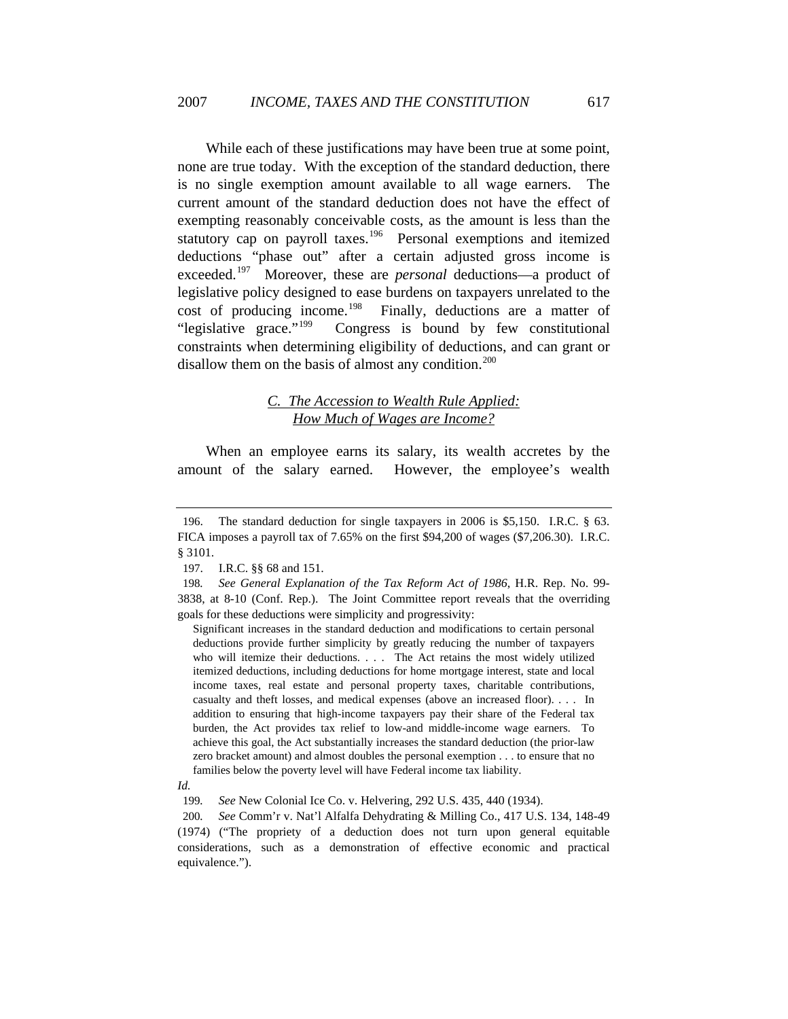While each of these justifications may have been true at some point, none are true today. With the exception of the standard deduction, there is no single exemption amount available to all wage earners. The current amount of the standard deduction does not have the effect of exempting reasonably conceivable costs, as the amount is less than the statutory cap on payroll taxes.<sup>[196](#page-31-0)</sup> Personal exemptions and itemized deductions "phase out" after a certain adjusted gross income is exceeded.[197](#page-31-1) Moreover, these are *personal* deductions—a product of legislative policy designed to ease burdens on taxpayers unrelated to the cost of producing income.<sup>[198](#page-31-2)</sup> Finally, deductions are a matter of "legislative grace."[199](#page-31-3) Congress is bound by few constitutional constraints when determining eligibility of deductions, and can grant or disallow them on the basis of almost any condition.<sup>[200](#page-31-4)</sup>

## *C. The Accession to Wealth Rule Applied: How Much of Wages are Income?*

When an employee earns its salary, its wealth accretes by the amount of the salary earned. However, the employee's wealth

Significant increases in the standard deduction and modifications to certain personal deductions provide further simplicity by greatly reducing the number of taxpayers who will itemize their deductions. . . . The Act retains the most widely utilized itemized deductions, including deductions for home mortgage interest, state and local income taxes, real estate and personal property taxes, charitable contributions, casualty and theft losses, and medical expenses (above an increased floor). . . . In addition to ensuring that high-income taxpayers pay their share of the Federal tax burden, the Act provides tax relief to low-and middle-income wage earners. To achieve this goal, the Act substantially increases the standard deduction (the prior-law zero bracket amount) and almost doubles the personal exemption . . . to ensure that no families below the poverty level will have Federal income tax liability.

<span id="page-31-4"></span>200*. See* Comm'r v. Nat'l Alfalfa Dehydrating & Milling Co., 417 U.S. 134, 148-49 (1974) ("The propriety of a deduction does not turn upon general equitable considerations, such as a demonstration of effective economic and practical equivalence.").

<span id="page-31-0"></span><sup>196.</sup> The standard deduction for single taxpayers in 2006 is \$5,150. I.R.C. § 63. FICA imposes a payroll tax of 7.65% on the first \$94,200 of wages (\$7,206.30). I.R.C. § 3101.

<sup>197.</sup> I.R.C. §§ 68 and 151.

<span id="page-31-2"></span><span id="page-31-1"></span><sup>198</sup>*. See General Explanation of the Tax Reform Act of 1986*, H.R. Rep. No. 99- 3838, at 8-10 (Conf. Rep.). The Joint Committee report reveals that the overriding goals for these deductions were simplicity and progressivity:

<span id="page-31-3"></span>*Id.*

<sup>199</sup>*. See* New Colonial Ice Co. v. Helvering, 292 U.S. 435, 440 (1934).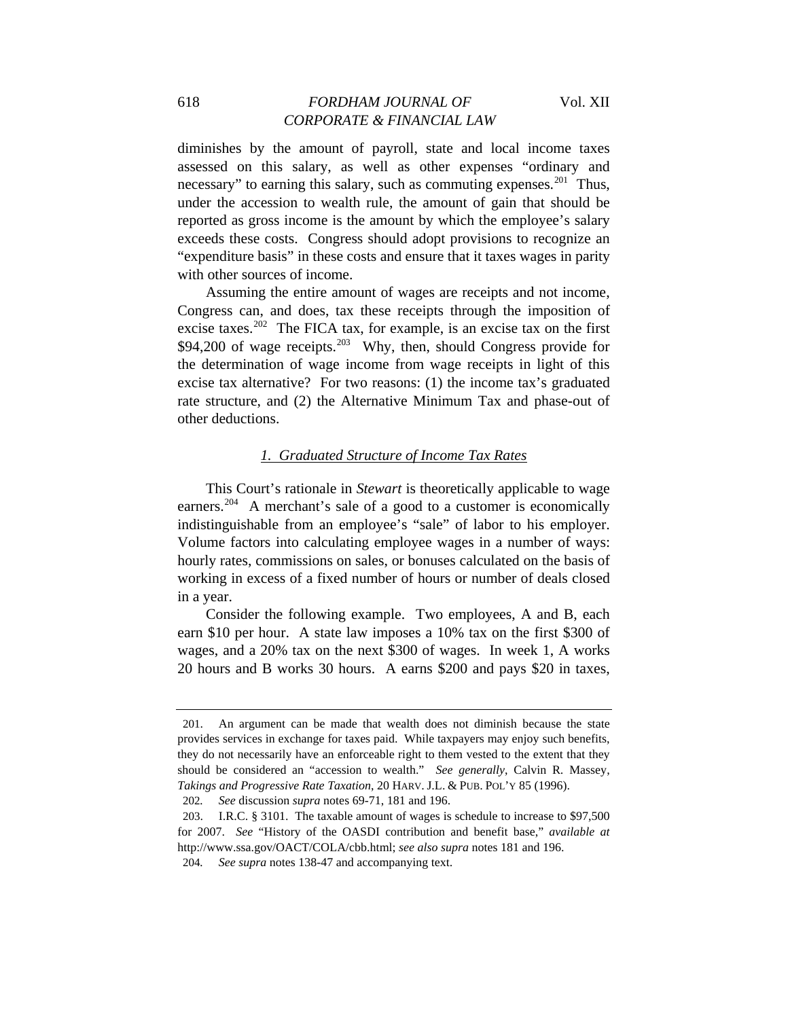## 618 *FORDHAM JOURNAL OF* Vol. XII *CORPORATE & FINANCIAL LAW*

diminishes by the amount of payroll, state and local income taxes assessed on this salary, as well as other expenses "ordinary and necessary" to earning this salary, such as commuting expenses.<sup>[201](#page-32-0)</sup> Thus, under the accession to wealth rule, the amount of gain that should be reported as gross income is the amount by which the employee's salary exceeds these costs. Congress should adopt provisions to recognize an "expenditure basis" in these costs and ensure that it taxes wages in parity with other sources of income.

Assuming the entire amount of wages are receipts and not income, Congress can, and does, tax these receipts through the imposition of excise taxes.<sup>[202](#page-32-1)</sup> The FICA tax, for example, is an excise tax on the first  $$94,200$  of wage receipts.<sup>[203](#page-32-2)</sup> Why, then, should Congress provide for the determination of wage income from wage receipts in light of this excise tax alternative? For two reasons: (1) the income tax's graduated rate structure, and (2) the Alternative Minimum Tax and phase-out of other deductions.

#### *1. Graduated Structure of Income Tax Rates*

This Court's rationale in *Stewart* is theoretically applicable to wage earners.<sup>[204](#page-32-3)</sup> A merchant's sale of a good to a customer is economically indistinguishable from an employee's "sale" of labor to his employer. Volume factors into calculating employee wages in a number of ways: hourly rates, commissions on sales, or bonuses calculated on the basis of working in excess of a fixed number of hours or number of deals closed in a year.

Consider the following example. Two employees, A and B, each earn \$10 per hour. A state law imposes a 10% tax on the first \$300 of wages, and a 20% tax on the next \$300 of wages. In week 1, A works 20 hours and B works 30 hours. A earns \$200 and pays \$20 in taxes,

<span id="page-32-0"></span><sup>201.</sup> An argument can be made that wealth does not diminish because the state provides services in exchange for taxes paid. While taxpayers may enjoy such benefits, they do not necessarily have an enforceable right to them vested to the extent that they should be considered an "accession to wealth." *See generally*, Calvin R. Massey, *Takings and Progressive Rate Taxation*, 20 HARV. J.L. & PUB. POL'Y 85 (1996).

<sup>202</sup>*. See* discussion *supra* notes 69-71, 181 and 196.

<span id="page-32-2"></span><span id="page-32-1"></span><sup>203.</sup> I.R.C. § 3101. The taxable amount of wages is schedule to increase to \$97,500 for 2007. *See* "History of the OASDI contribution and benefit base," *available at* http://www.ssa.gov/OACT/COLA/cbb.html; *see also supra* notes 181 and 196.

<span id="page-32-3"></span><sup>204</sup>*. See supra* notes 138-47 and accompanying text.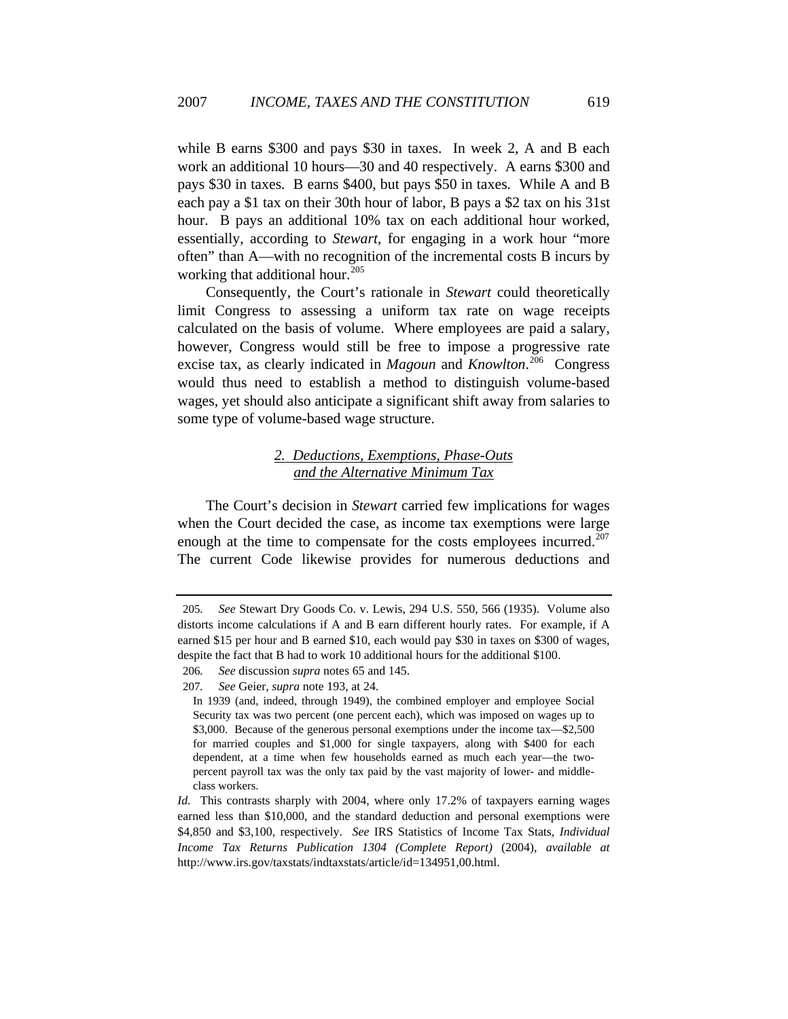while B earns \$300 and pays \$30 in taxes. In week 2, A and B each work an additional 10 hours—30 and 40 respectively. A earns \$300 and pays \$30 in taxes. B earns \$400, but pays \$50 in taxes. While A and B each pay a \$1 tax on their 30th hour of labor, B pays a \$2 tax on his 31st hour. B pays an additional 10% tax on each additional hour worked, essentially, according to *Stewart*, for engaging in a work hour "more often" than A—with no recognition of the incremental costs B incurs by working that additional hour.<sup>[205](#page-33-0)</sup>

Consequently, the Court's rationale in *Stewart* could theoretically limit Congress to assessing a uniform tax rate on wage receipts calculated on the basis of volume. Where employees are paid a salary, however, Congress would still be free to impose a progressive rate excise tax, as clearly indicated in *Magoun* and *Knowlton*. [206](#page-33-1) Congress would thus need to establish a method to distinguish volume-based wages, yet should also anticipate a significant shift away from salaries to some type of volume-based wage structure.

## *2. Deductions, Exemptions, Phase-Outs and the Alternative Minimum Tax*

The Court's decision in *Stewart* carried few implications for wages when the Court decided the case, as income tax exemptions were large enough at the time to compensate for the costs employees incurred.<sup>[207](#page-33-2)</sup> The current Code likewise provides for numerous deductions and

<span id="page-33-0"></span><sup>205</sup>*. See* Stewart Dry Goods Co. v. Lewis, 294 U.S. 550, 566 (1935). Volume also distorts income calculations if A and B earn different hourly rates. For example, if A earned \$15 per hour and B earned \$10, each would pay \$30 in taxes on \$300 of wages, despite the fact that B had to work 10 additional hours for the additional \$100.

<span id="page-33-1"></span><sup>206</sup>*. See* discussion *supra* notes 65 and 145.

<span id="page-33-2"></span><sup>207</sup>*. See* Geier, *supra* note 193, at 24.

In 1939 (and, indeed, through 1949), the combined employer and employee Social Security tax was two percent (one percent each), which was imposed on wages up to \$3,000. Because of the generous personal exemptions under the income tax—\$2,500 for married couples and \$1,000 for single taxpayers, along with \$400 for each dependent, at a time when few households earned as much each year—the twopercent payroll tax was the only tax paid by the vast majority of lower- and middleclass workers.

*Id.* This contrasts sharply with 2004, where only 17.2% of taxpayers earning wages earned less than \$10,000, and the standard deduction and personal exemptions were \$4,850 and \$3,100, respectively. *See* IRS Statistics of Income Tax Stats, *Individual Income Tax Returns Publication 1304 (Complete Report)* (2004), *available at* http://www.irs.gov/taxstats/indtaxstats/article/id=134951,00.html.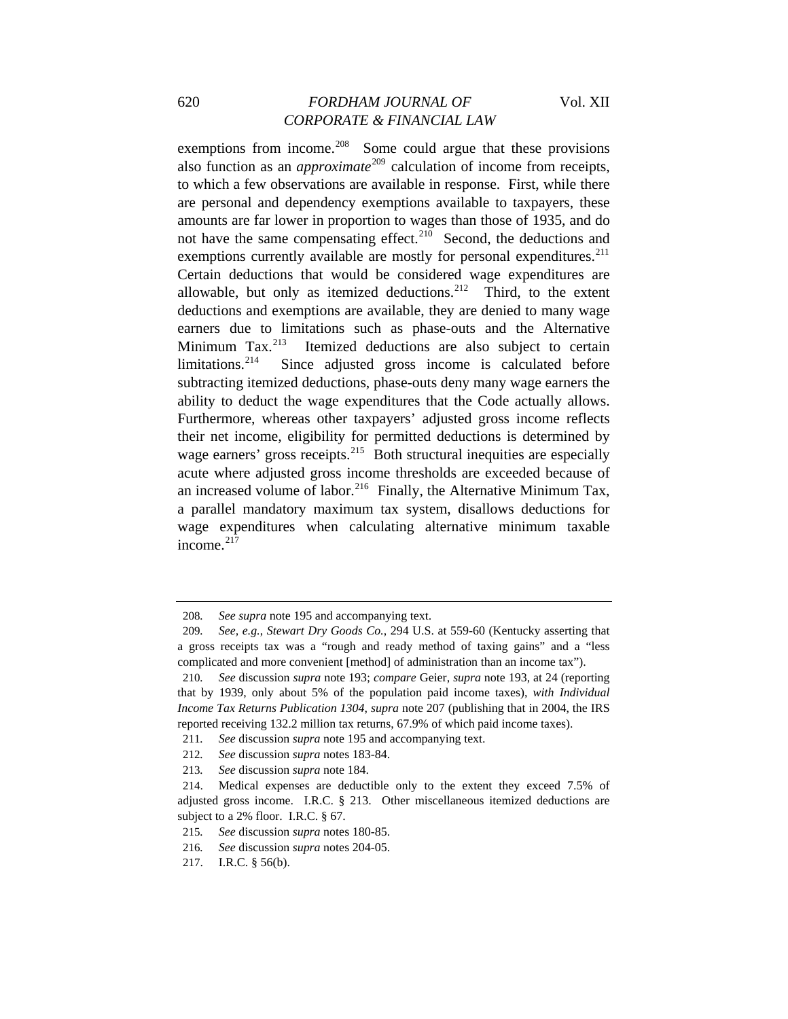## 620 *FORDHAM JOURNAL OF* Vol. XII *CORPORATE & FINANCIAL LAW*

exemptions from income. $^{208}$  $^{208}$  $^{208}$  Some could argue that these provisions also function as an *approximate*<sup>[209](#page-34-1)</sup> calculation of income from receipts, to which a few observations are available in response. First, while there are personal and dependency exemptions available to taxpayers, these amounts are far lower in proportion to wages than those of 1935, and do not have the same compensating effect.<sup>[210](#page-34-2)</sup> Second, the deductions and exemptions currently available are mostly for personal expenditures.<sup>[211](#page-34-3)</sup> Certain deductions that would be considered wage expenditures are allowable, but only as itemized deductions. $212$  Third, to the extent deductions and exemptions are available, they are denied to many wage earners due to limitations such as phase-outs and the Alternative Minimum  $\text{Tax.}^{213}$  $\text{Tax.}^{213}$  $\text{Tax.}^{213}$  Itemized deductions are also subject to certain limitations.<sup>214</sup> Since adjusted gross income is calculated before Since adjusted gross income is calculated before subtracting itemized deductions, phase-outs deny many wage earners the ability to deduct the wage expenditures that the Code actually allows. Furthermore, whereas other taxpayers' adjusted gross income reflects their net income, eligibility for permitted deductions is determined by wage earners' gross receipts. <sup>[215](#page-34-7)</sup> Both structural inequities are especially acute where adjusted gross income thresholds are exceeded because of an increased volume of labor.<sup>[216](#page-34-8)</sup> Finally, the Alternative Minimum Tax, a parallel mandatory maximum tax system, disallows deductions for wage expenditures when calculating alternative minimum taxable income.<sup>[217](#page-34-9)</sup>

<sup>208</sup>*. See supra* note 195 and accompanying text.

<span id="page-34-1"></span><span id="page-34-0"></span><sup>209</sup>*. See, e.g.*, *Stewart Dry Goods Co.*, 294 U.S. at 559-60 (Kentucky asserting that a gross receipts tax was a "rough and ready method of taxing gains" and a "less complicated and more convenient [method] of administration than an income tax").

<span id="page-34-2"></span><sup>210</sup>*. See* discussion *supra* note 193; *compare* Geier, *supra* note 193, at 24 (reporting that by 1939, only about 5% of the population paid income taxes), *with Individual Income Tax Returns Publication 1304*, *supra* note 207 (publishing that in 2004, the IRS reported receiving 132.2 million tax returns, 67.9% of which paid income taxes).

<span id="page-34-3"></span><sup>211</sup>*. See* discussion *supra* note 195 and accompanying text.

<sup>212</sup>*. See* discussion *supra* notes 183-84.

<sup>213</sup>*. See* discussion *supra* note 184.

<span id="page-34-6"></span><span id="page-34-5"></span><span id="page-34-4"></span><sup>214.</sup> Medical expenses are deductible only to the extent they exceed 7.5% of adjusted gross income. I.R.C. § 213. Other miscellaneous itemized deductions are subject to a 2% floor. I.R.C. § 67.

<span id="page-34-7"></span><sup>215</sup>*. See* discussion *supra* notes 180-85.

<span id="page-34-9"></span><span id="page-34-8"></span><sup>216</sup>*. See* discussion *supra* notes 204-05.

<sup>217.</sup> I.R.C. § 56(b).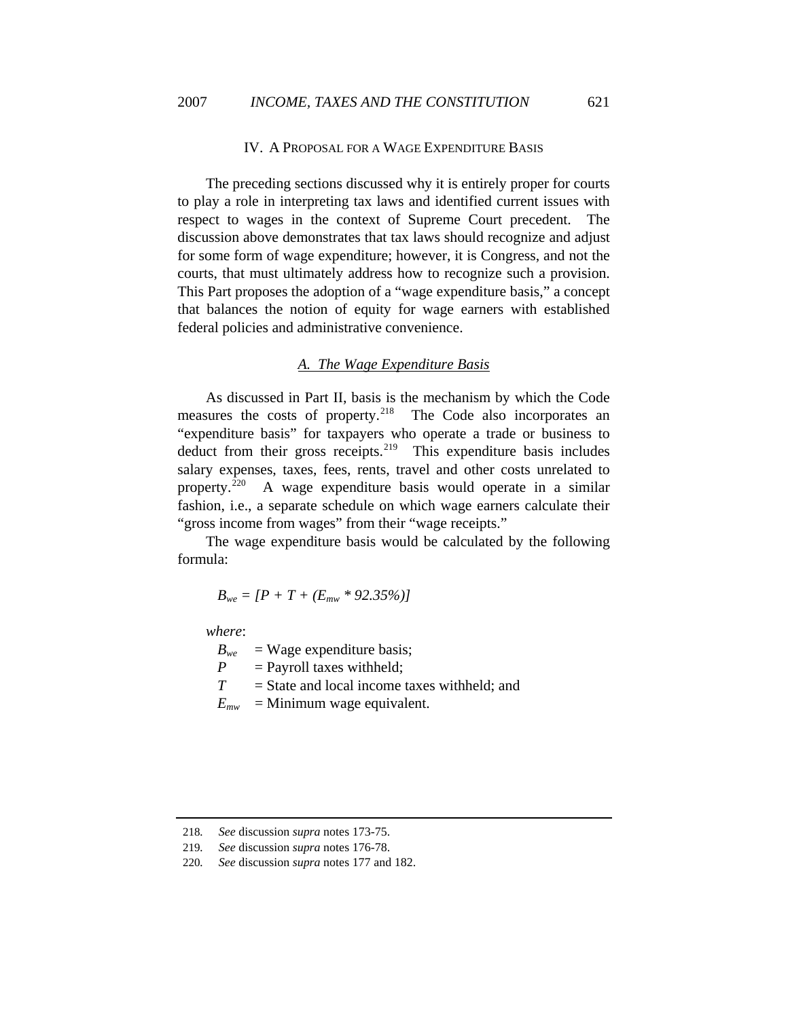#### IV. A PROPOSAL FOR A WAGE EXPENDITURE BASIS

The preceding sections discussed why it is entirely proper for courts to play a role in interpreting tax laws and identified current issues with respect to wages in the context of Supreme Court precedent. The discussion above demonstrates that tax laws should recognize and adjust for some form of wage expenditure; however, it is Congress, and not the courts, that must ultimately address how to recognize such a provision. This Part proposes the adoption of a "wage expenditure basis," a concept that balances the notion of equity for wage earners with established federal policies and administrative convenience.

#### *A. The Wage Expenditure Basis*

As discussed in Part II, basis is the mechanism by which the Code measures the costs of property.<sup>[218](#page-35-0)</sup> The Code also incorporates an "expenditure basis" for taxpayers who operate a trade or business to deduct from their gross receipts. $219$  This expenditure basis includes salary expenses, taxes, fees, rents, travel and other costs unrelated to property.[220](#page-35-2) A wage expenditure basis would operate in a similar fashion, i.e., a separate schedule on which wage earners calculate their "gross income from wages" from their "wage receipts."

The wage expenditure basis would be calculated by the following formula:

 $B_{we} = [P + T + (E_{mw} * 92.35\%)]$ 

*where*:

 $B_{we}$  = Wage expenditure basis;

 $P =$  Payroll taxes withheld:

 $T =$  State and local income taxes withheld; and

 $E_{mw}$  = Minimum wage equivalent.

<span id="page-35-1"></span><span id="page-35-0"></span><sup>218</sup>*. See* discussion *supra* notes 173-75.

<sup>219</sup>*. See* discussion *supra* notes 176-78.

<span id="page-35-2"></span><sup>220</sup>*. See* discussion *supra* notes 177 and 182.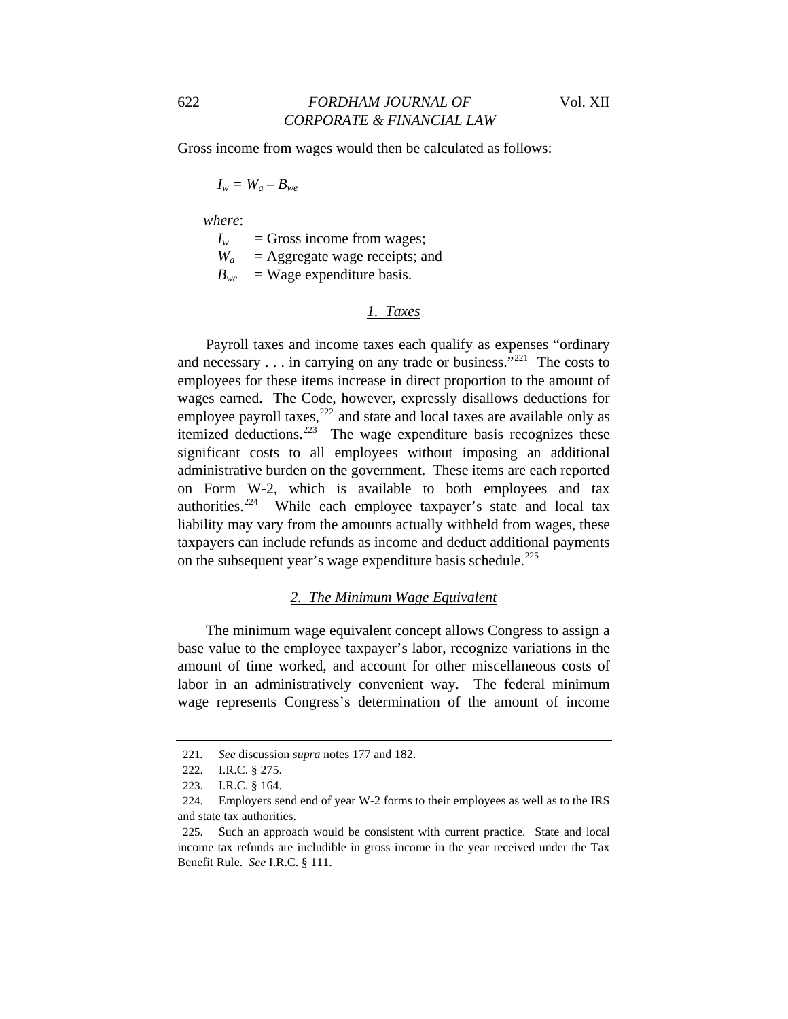Gross income from wages would then be calculated as follows:

$$
I_w = W_a - B_{we}
$$

 *where*:

 $I_w$  = Gross income from wages;

 $W_a$  = Aggregate wage receipts; and

 $B_{we}$ = Wage expenditure basis.

#### *1. Taxes*

Payroll taxes and income taxes each qualify as expenses "ordinary and necessary  $\dots$  in carrying on any trade or business."<sup>[221](#page-36-0)</sup> The costs to employees for these items increase in direct proportion to the amount of wages earned. The Code, however, expressly disallows deductions for employee payroll taxes,<sup>[222](#page-36-1)</sup> and state and local taxes are available only as itemized deductions.<sup>[223](#page-36-2)</sup> The wage expenditure basis recognizes these significant costs to all employees without imposing an additional administrative burden on the government. These items are each reported on Form W-2, which is available to both employees and tax authorities.<sup>[224](#page-36-3)</sup> While each employee taxpayer's state and local tax liability may vary from the amounts actually withheld from wages, these taxpayers can include refunds as income and deduct additional payments on the subsequent year's wage expenditure basis schedule.<sup>[225](#page-36-4)</sup>

#### *2. The Minimum Wage Equivalent*

The minimum wage equivalent concept allows Congress to assign a base value to the employee taxpayer's labor, recognize variations in the amount of time worked, and account for other miscellaneous costs of labor in an administratively convenient way. The federal minimum wage represents Congress's determination of the amount of income

<span id="page-36-1"></span><span id="page-36-0"></span><sup>221</sup>*. See* discussion *supra* notes 177 and 182.

<sup>222.</sup> I.R.C. § 275.

<sup>223.</sup> I.R.C. § 164.

<span id="page-36-3"></span><span id="page-36-2"></span><sup>224.</sup> Employers send end of year W-2 forms to their employees as well as to the IRS and state tax authorities.

<span id="page-36-4"></span><sup>225.</sup> Such an approach would be consistent with current practice. State and local income tax refunds are includible in gross income in the year received under the Tax Benefit Rule. *See* I.R.C. § 111.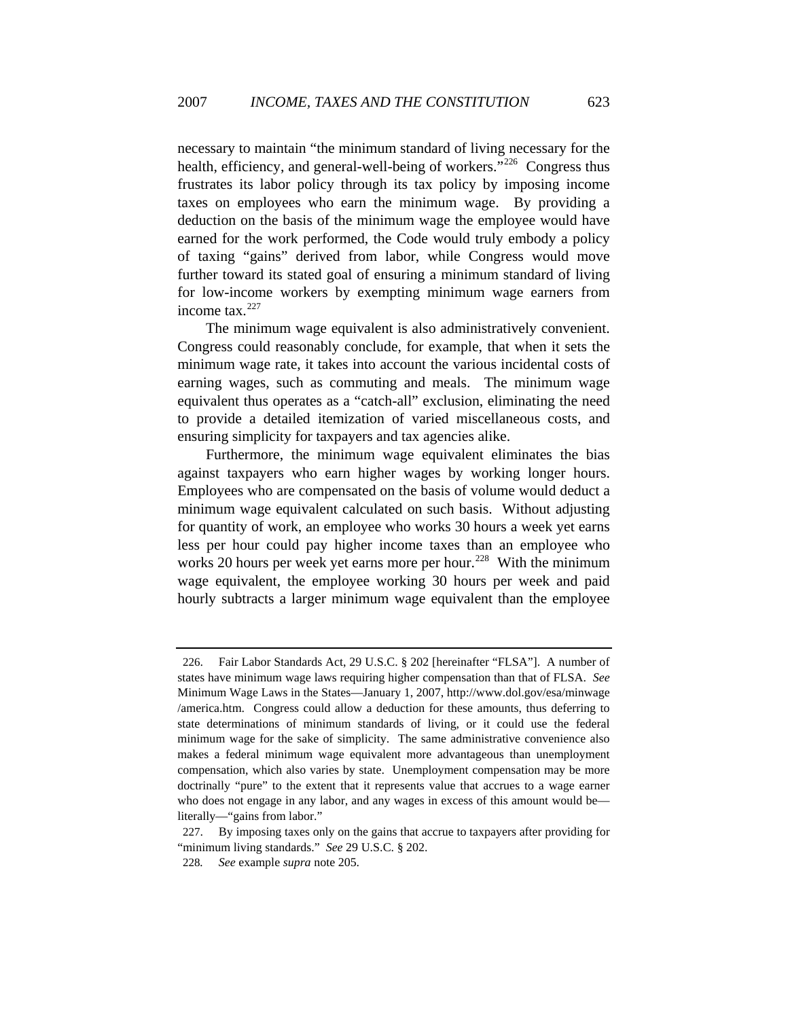necessary to maintain "the minimum standard of living necessary for the health, efficiency, and general-well-being of workers."<sup>[226](#page-37-0)</sup> Congress thus frustrates its labor policy through its tax policy by imposing income taxes on employees who earn the minimum wage. By providing a deduction on the basis of the minimum wage the employee would have earned for the work performed, the Code would truly embody a policy of taxing "gains" derived from labor, while Congress would move further toward its stated goal of ensuring a minimum standard of living for low-income workers by exempting minimum wage earners from income tax.[227](#page-37-1)

The minimum wage equivalent is also administratively convenient. Congress could reasonably conclude, for example, that when it sets the minimum wage rate, it takes into account the various incidental costs of earning wages, such as commuting and meals. The minimum wage equivalent thus operates as a "catch-all" exclusion, eliminating the need to provide a detailed itemization of varied miscellaneous costs, and ensuring simplicity for taxpayers and tax agencies alike.

Furthermore, the minimum wage equivalent eliminates the bias against taxpayers who earn higher wages by working longer hours. Employees who are compensated on the basis of volume would deduct a minimum wage equivalent calculated on such basis. Without adjusting for quantity of work, an employee who works 30 hours a week yet earns less per hour could pay higher income taxes than an employee who works 20 hours per week yet earns more per hour.<sup>[228](#page-37-2)</sup> With the minimum wage equivalent, the employee working 30 hours per week and paid hourly subtracts a larger minimum wage equivalent than the employee

<span id="page-37-0"></span><sup>226.</sup> Fair Labor Standards Act, 29 U.S.C. § 202 [hereinafter "FLSA"]. A number of states have minimum wage laws requiring higher compensation than that of FLSA. *See* Minimum Wage Laws in the States—January 1, 2007, http://www.dol.gov/esa/minwage /america.htm. Congress could allow a deduction for these amounts, thus deferring to state determinations of minimum standards of living, or it could use the federal minimum wage for the sake of simplicity. The same administrative convenience also makes a federal minimum wage equivalent more advantageous than unemployment compensation, which also varies by state. Unemployment compensation may be more doctrinally "pure" to the extent that it represents value that accrues to a wage earner who does not engage in any labor, and any wages in excess of this amount would be literally—"gains from labor."

<span id="page-37-2"></span><span id="page-37-1"></span><sup>227.</sup> By imposing taxes only on the gains that accrue to taxpayers after providing for "minimum living standards." *See* 29 U.S.C. § 202.

<sup>228</sup>*. See* example *supra* note 205.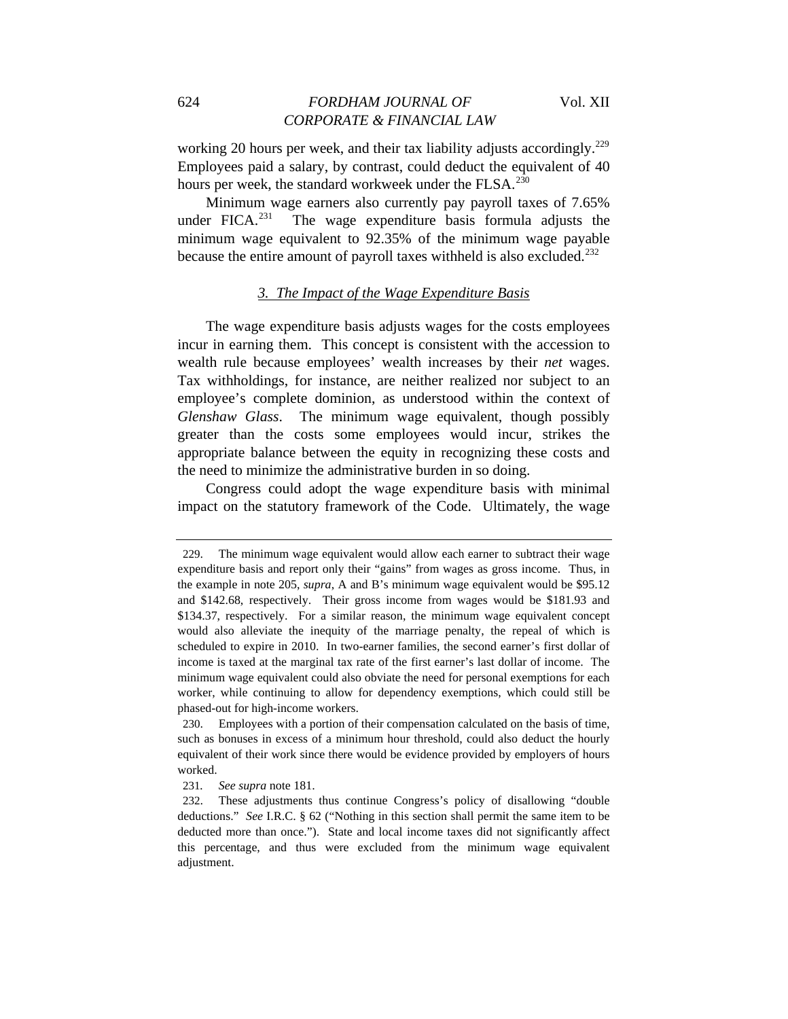working 20 hours per week, and their tax liability adjusts accordingly.<sup>[229](#page-38-0)</sup> Employees paid a salary, by contrast, could deduct the equivalent of 40 hours per week, the standard workweek under the FLSA.<sup>[230](#page-38-1)</sup>

Minimum wage earners also currently pay payroll taxes of 7.65% under FICA. $^{231}$  $^{231}$  $^{231}$  The wage expenditure basis formula adjusts the minimum wage equivalent to 92.35% of the minimum wage payable because the entire amount of payroll taxes withheld is also excluded.<sup>[232](#page-38-3)</sup>

## *3. The Impact of the Wage Expenditure Basis*

The wage expenditure basis adjusts wages for the costs employees incur in earning them. This concept is consistent with the accession to wealth rule because employees' wealth increases by their *net* wages. Tax withholdings, for instance, are neither realized nor subject to an employee's complete dominion, as understood within the context of *Glenshaw Glass*. The minimum wage equivalent, though possibly greater than the costs some employees would incur, strikes the appropriate balance between the equity in recognizing these costs and the need to minimize the administrative burden in so doing.

Congress could adopt the wage expenditure basis with minimal impact on the statutory framework of the Code. Ultimately, the wage

<span id="page-38-0"></span><sup>229.</sup> The minimum wage equivalent would allow each earner to subtract their wage expenditure basis and report only their "gains" from wages as gross income. Thus, in the example in note 205, *supra*, A and B's minimum wage equivalent would be \$95.12 and \$142.68, respectively. Their gross income from wages would be \$181.93 and \$134.37, respectively. For a similar reason, the minimum wage equivalent concept would also alleviate the inequity of the marriage penalty, the repeal of which is scheduled to expire in 2010. In two-earner families, the second earner's first dollar of income is taxed at the marginal tax rate of the first earner's last dollar of income. The minimum wage equivalent could also obviate the need for personal exemptions for each worker, while continuing to allow for dependency exemptions, which could still be phased-out for high-income workers.

<span id="page-38-1"></span><sup>230.</sup> Employees with a portion of their compensation calculated on the basis of time, such as bonuses in excess of a minimum hour threshold, could also deduct the hourly equivalent of their work since there would be evidence provided by employers of hours worked.

<sup>231</sup>*. See supra* note 181.

<span id="page-38-3"></span><span id="page-38-2"></span><sup>232.</sup> These adjustments thus continue Congress's policy of disallowing "double deductions." *See* I.R.C. § 62 ("Nothing in this section shall permit the same item to be deducted more than once."). State and local income taxes did not significantly affect this percentage, and thus were excluded from the minimum wage equivalent adjustment.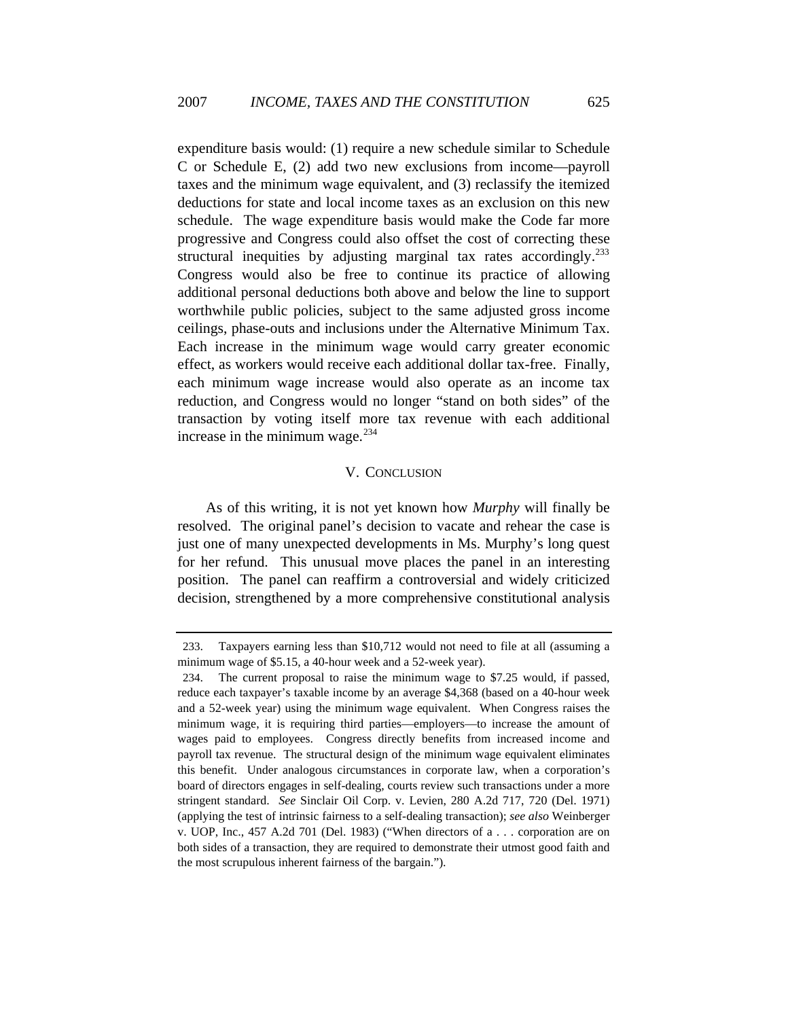expenditure basis would: (1) require a new schedule similar to Schedule C or Schedule E, (2) add two new exclusions from income—payroll taxes and the minimum wage equivalent, and (3) reclassify the itemized deductions for state and local income taxes as an exclusion on this new schedule. The wage expenditure basis would make the Code far more progressive and Congress could also offset the cost of correcting these structural inequities by adjusting marginal tax rates accordingly.<sup>[233](#page-39-0)</sup> Congress would also be free to continue its practice of allowing additional personal deductions both above and below the line to support worthwhile public policies, subject to the same adjusted gross income ceilings, phase-outs and inclusions under the Alternative Minimum Tax. Each increase in the minimum wage would carry greater economic effect, as workers would receive each additional dollar tax-free. Finally, each minimum wage increase would also operate as an income tax reduction, and Congress would no longer "stand on both sides" of the transaction by voting itself more tax revenue with each additional increase in the minimum wage. $^{234}$  $^{234}$  $^{234}$ 

#### V. CONCLUSION

As of this writing, it is not yet known how *Murphy* will finally be resolved. The original panel's decision to vacate and rehear the case is just one of many unexpected developments in Ms. Murphy's long quest for her refund. This unusual move places the panel in an interesting position. The panel can reaffirm a controversial and widely criticized decision, strengthened by a more comprehensive constitutional analysis

<span id="page-39-0"></span><sup>233.</sup> Taxpayers earning less than \$10,712 would not need to file at all (assuming a minimum wage of \$5.15, a 40-hour week and a 52-week year).

<span id="page-39-1"></span><sup>234.</sup> The current proposal to raise the minimum wage to \$7.25 would, if passed, reduce each taxpayer's taxable income by an average \$4,368 (based on a 40-hour week and a 52-week year) using the minimum wage equivalent. When Congress raises the minimum wage, it is requiring third parties—employers—to increase the amount of wages paid to employees. Congress directly benefits from increased income and payroll tax revenue. The structural design of the minimum wage equivalent eliminates this benefit. Under analogous circumstances in corporate law, when a corporation's board of directors engages in self-dealing, courts review such transactions under a more stringent standard. *See* Sinclair Oil Corp. v. Levien, 280 A.2d 717, 720 (Del. 1971) (applying the test of intrinsic fairness to a self-dealing transaction); *see also* Weinberger v. UOP, Inc., 457 A.2d 701 (Del. 1983) ("When directors of a . . . corporation are on both sides of a transaction, they are required to demonstrate their utmost good faith and the most scrupulous inherent fairness of the bargain.").